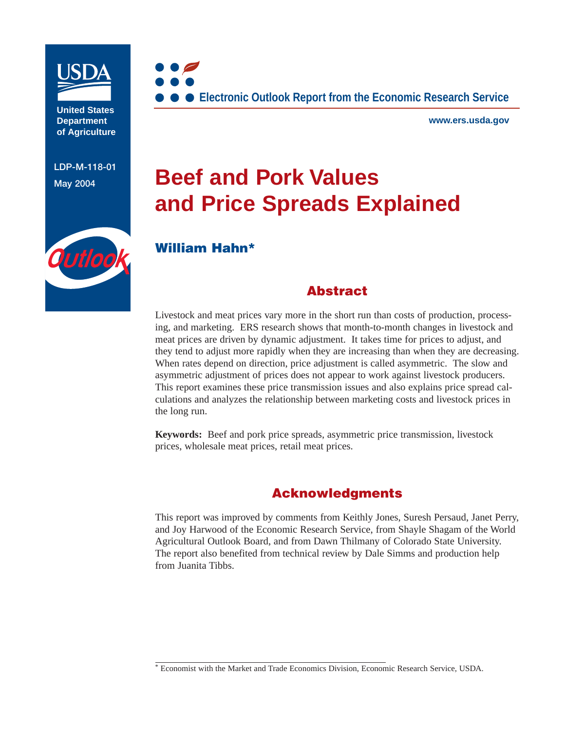

**United States Department of Agriculture**

**LDP-M-118-01**



**www.ers.usda.gov**

# **Beef and Pork Values and Price Spreads Explained**



# **William Hahn\***

# **Abstract**

Livestock and meat prices vary more in the short run than costs of production, processing, and marketing. ERS research shows that month-to-month changes in livestock and meat prices are driven by dynamic adjustment. It takes time for prices to adjust, and they tend to adjust more rapidly when they are increasing than when they are decreasing. When rates depend on direction, price adjustment is called asymmetric. The slow and asymmetric adjustment of prices does not appear to work against livestock producers. This report examines these price transmission issues and also explains price spread calculations and analyzes the relationship between marketing costs and livestock prices in the long run.

**Keywords:** Beef and pork price spreads, asymmetric price transmission, livestock prices, wholesale meat prices, retail meat prices.

# **Acknowledgments**

This report was improved by comments from Keithly Jones, Suresh Persaud, Janet Perry, and Joy Harwood of the Economic Research Service, from Shayle Shagam of the World Agricultural Outlook Board, and from Dawn Thilmany of Colorado State University. The report also benefited from technical review by Dale Simms and production help from Juanita Tibbs.

<sup>\*</sup> Economist with the Market and Trade Economics Division, Economic Research Service, USDA.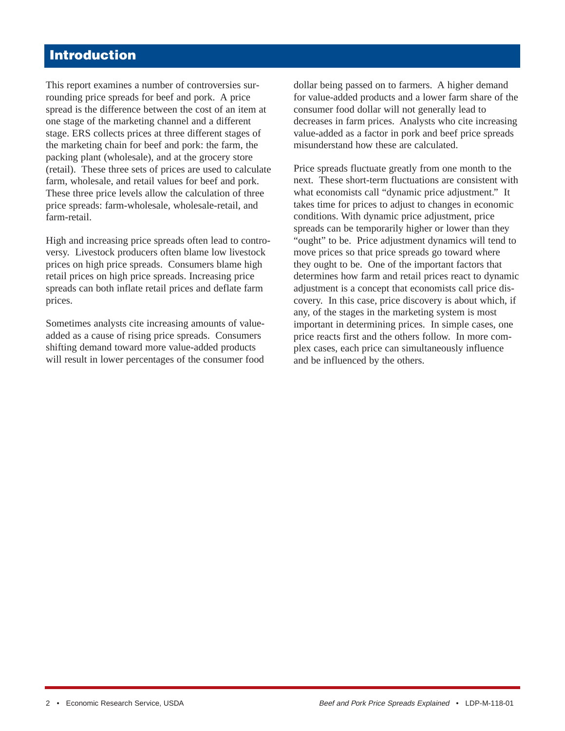# **Introduction**

This report examines a number of controversies surrounding price spreads for beef and pork. A price spread is the difference between the cost of an item at one stage of the marketing channel and a different stage. ERS collects prices at three different stages of the marketing chain for beef and pork: the farm, the packing plant (wholesale), and at the grocery store (retail). These three sets of prices are used to calculate farm, wholesale, and retail values for beef and pork. These three price levels allow the calculation of three price spreads: farm-wholesale, wholesale-retail, and farm-retail.

High and increasing price spreads often lead to controversy. Livestock producers often blame low livestock prices on high price spreads. Consumers blame high retail prices on high price spreads. Increasing price spreads can both inflate retail prices and deflate farm prices.

Sometimes analysts cite increasing amounts of valueadded as a cause of rising price spreads. Consumers shifting demand toward more value-added products will result in lower percentages of the consumer food dollar being passed on to farmers. A higher demand for value-added products and a lower farm share of the consumer food dollar will not generally lead to decreases in farm prices. Analysts who cite increasing value-added as a factor in pork and beef price spreads misunderstand how these are calculated.

Price spreads fluctuate greatly from one month to the next. These short-term fluctuations are consistent with what economists call "dynamic price adjustment." It takes time for prices to adjust to changes in economic conditions. With dynamic price adjustment, price spreads can be temporarily higher or lower than they "ought" to be. Price adjustment dynamics will tend to move prices so that price spreads go toward where they ought to be. One of the important factors that determines how farm and retail prices react to dynamic adjustment is a concept that economists call price discovery. In this case, price discovery is about which, if any, of the stages in the marketing system is most important in determining prices. In simple cases, one price reacts first and the others follow. In more complex cases, each price can simultaneously influence and be influenced by the others.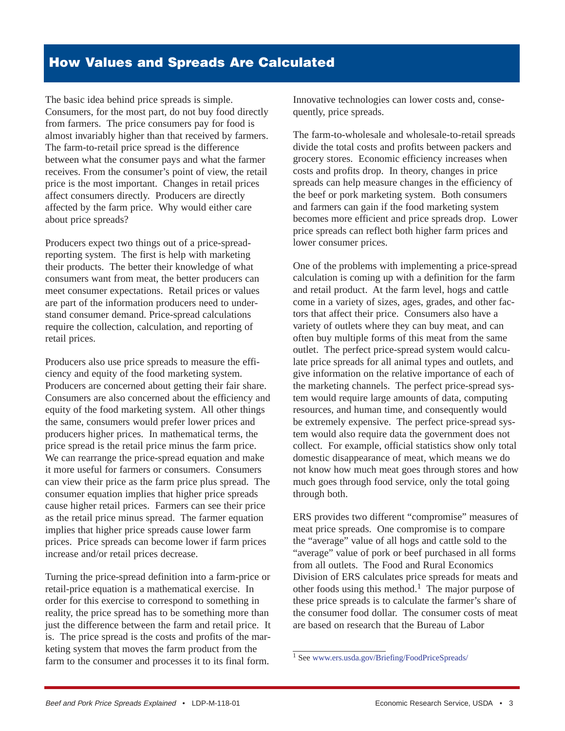The basic idea behind price spreads is simple. Consumers, for the most part, do not buy food directly from farmers. The price consumers pay for food is almost invariably higher than that received by farmers. The farm-to-retail price spread is the difference between what the consumer pays and what the farmer receives. From the consumer's point of view, the retail price is the most important. Changes in retail prices affect consumers directly. Producers are directly affected by the farm price. Why would either care about price spreads?

Producers expect two things out of a price-spreadreporting system. The first is help with marketing their products. The better their knowledge of what consumers want from meat, the better producers can meet consumer expectations. Retail prices or values are part of the information producers need to understand consumer demand. Price-spread calculations require the collection, calculation, and reporting of retail prices.

Producers also use price spreads to measure the efficiency and equity of the food marketing system. Producers are concerned about getting their fair share. Consumers are also concerned about the efficiency and equity of the food marketing system. All other things the same, consumers would prefer lower prices and producers higher prices. In mathematical terms, the price spread is the retail price minus the farm price. We can rearrange the price-spread equation and make it more useful for farmers or consumers. Consumers can view their price as the farm price plus spread. The consumer equation implies that higher price spreads cause higher retail prices. Farmers can see their price as the retail price minus spread. The farmer equation implies that higher price spreads cause lower farm prices. Price spreads can become lower if farm prices increase and/or retail prices decrease.

Turning the price-spread definition into a farm-price or retail-price equation is a mathematical exercise. In order for this exercise to correspond to something in reality, the price spread has to be something more than just the difference between the farm and retail price. It is. The price spread is the costs and profits of the marketing system that moves the farm product from the farm to the consumer and processes it to its final form.

Innovative technologies can lower costs and, consequently, price spreads.

The farm-to-wholesale and wholesale-to-retail spreads divide the total costs and profits between packers and grocery stores. Economic efficiency increases when costs and profits drop. In theory, changes in price spreads can help measure changes in the efficiency of the beef or pork marketing system. Both consumers and farmers can gain if the food marketing system becomes more efficient and price spreads drop. Lower price spreads can reflect both higher farm prices and lower consumer prices.

One of the problems with implementing a price-spread calculation is coming up with a definition for the farm and retail product. At the farm level, hogs and cattle come in a variety of sizes, ages, grades, and other factors that affect their price. Consumers also have a variety of outlets where they can buy meat, and can often buy multiple forms of this meat from the same outlet. The perfect price-spread system would calculate price spreads for all animal types and outlets, and give information on the relative importance of each of the marketing channels. The perfect price-spread system would require large amounts of data, computing resources, and human time, and consequently would be extremely expensive. The perfect price-spread system would also require data the government does not collect. For example, official statistics show only total domestic disappearance of meat, which means we do not know how much meat goes through stores and how much goes through food service, only the total going through both.

ERS provides two different "compromise" measures of meat price spreads. One compromise is to compare the "average" value of all hogs and cattle sold to the "average" value of pork or beef purchased in all forms from all outlets. The Food and Rural Economics Division of ERS calculates price spreads for meats and other foods using this method.<sup>1</sup> The major purpose of these price spreads is to calculate the farmer's share of the consumer food dollar. The consumer costs of meat are based on research that the Bureau of Labor

<sup>1</sup> See [www.ers.usda.gov/Briefing/FoodPriceSpreads/](http://www.ers.usda.gov/Briefing/FoodPriceSpreads/)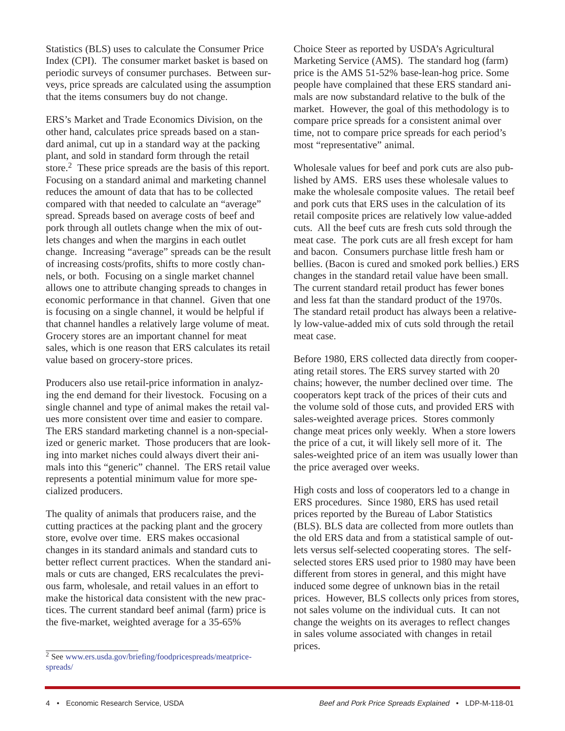Statistics (BLS) uses to calculate the Consumer Price Index (CPI). The consumer market basket is based on periodic surveys of consumer purchases. Between surveys, price spreads are calculated using the assumption that the items consumers buy do not change.

ERS's Market and Trade Economics Division, on the other hand, calculates price spreads based on a standard animal, cut up in a standard way at the packing plant, and sold in standard form through the retail store.<sup>2</sup> These price spreads are the basis of this report. Focusing on a standard animal and marketing channel reduces the amount of data that has to be collected compared with that needed to calculate an "average" spread. Spreads based on average costs of beef and pork through all outlets change when the mix of outlets changes and when the margins in each outlet change. Increasing "average" spreads can be the result of increasing costs/profits, shifts to more costly channels, or both. Focusing on a single market channel allows one to attribute changing spreads to changes in economic performance in that channel. Given that one is focusing on a single channel, it would be helpful if that channel handles a relatively large volume of meat. Grocery stores are an important channel for meat sales, which is one reason that ERS calculates its retail value based on grocery-store prices.

Producers also use retail-price information in analyzing the end demand for their livestock. Focusing on a single channel and type of animal makes the retail values more consistent over time and easier to compare. The ERS standard marketing channel is a non-specialized or generic market. Those producers that are looking into market niches could always divert their animals into this "generic" channel. The ERS retail value represents a potential minimum value for more specialized producers.

The quality of animals that producers raise, and the cutting practices at the packing plant and the grocery store, evolve over time. ERS makes occasional changes in its standard animals and standard cuts to better reflect current practices. When the standard animals or cuts are changed, ERS recalculates the previous farm, wholesale, and retail values in an effort to make the historical data consistent with the new practices. The current standard beef animal (farm) price is the five-market, weighted average for a 35-65%

Choice Steer as reported by USDA's Agricultural Marketing Service (AMS). The standard hog (farm) price is the AMS 51-52% base-lean-hog price. Some people have complained that these ERS standard animals are now substandard relative to the bulk of the market. However, the goal of this methodology is to compare price spreads for a consistent animal over time, not to compare price spreads for each period's most "representative" animal.

Wholesale values for beef and pork cuts are also published by AMS. ERS uses these wholesale values to make the wholesale composite values. The retail beef and pork cuts that ERS uses in the calculation of its retail composite prices are relatively low value-added cuts. All the beef cuts are fresh cuts sold through the meat case. The pork cuts are all fresh except for ham and bacon. Consumers purchase little fresh ham or bellies. (Bacon is cured and smoked pork bellies.) ERS changes in the standard retail value have been small. The current standard retail product has fewer bones and less fat than the standard product of the 1970s. The standard retail product has always been a relatively low-value-added mix of cuts sold through the retail meat case.

Before 1980, ERS collected data directly from cooperating retail stores. The ERS survey started with 20 chains; however, the number declined over time. The cooperators kept track of the prices of their cuts and the volume sold of those cuts, and provided ERS with sales-weighted average prices. Stores commonly change meat prices only weekly. When a store lowers the price of a cut, it will likely sell more of it. The sales-weighted price of an item was usually lower than the price averaged over weeks.

High costs and loss of cooperators led to a change in ERS procedures. Since 1980, ERS has used retail prices reported by the Bureau of Labor Statistics (BLS). BLS data are collected from more outlets than the old ERS data and from a statistical sample of outlets versus self-selected cooperating stores. The selfselected stores ERS used prior to 1980 may have been different from stores in general, and this might have induced some degree of unknown bias in the retail prices. However, BLS collects only prices from stores, not sales volume on the individual cuts. It can not change the weights on its averages to reflect changes in sales volume associated with changes in retail prices.

<sup>2</sup> See [www.ers.usda.gov/briefing/foodpricespreads/meatprice](http://www.ers.usda.gov/Briefing/FoodPriceSpreads/meatpricespreads/)[spreads/](http://www.ers.usda.gov/Briefing/FoodPriceSpreads/meatpricespreads/)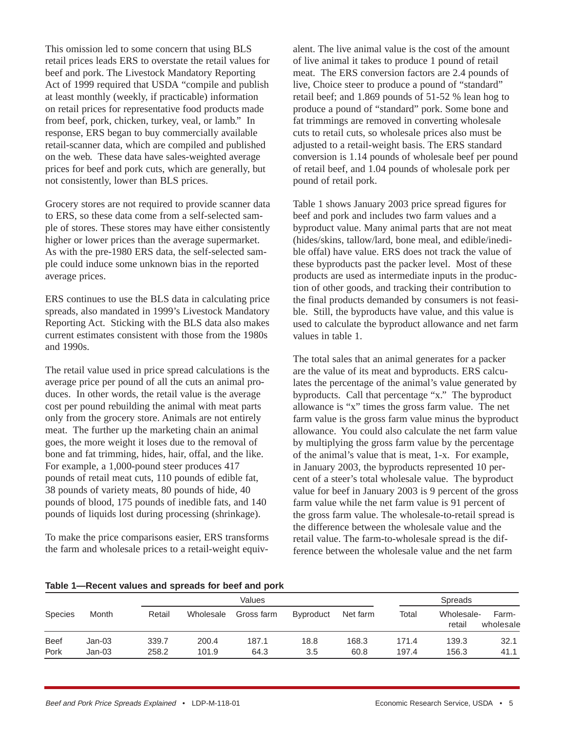This omission led to some concern that using BLS retail prices leads ERS to overstate the retail values for beef and pork. The Livestock Mandatory Reporting Act of 1999 required that USDA "compile and publish at least monthly (weekly, if practicable) information on retail prices for representative food products made from beef, pork, chicken, turkey, veal, or lamb." In response, ERS began to buy commercially available retail-scanner data, which are compiled and published on the web. These data have sales-weighted average prices for beef and pork cuts, which are generally, but not consistently, lower than BLS prices.

Grocery stores are not required to provide scanner data to ERS, so these data come from a self-selected sample of stores. These stores may have either consistently higher or lower prices than the average supermarket. As with the pre-1980 ERS data, the self-selected sample could induce some unknown bias in the reported average prices.

ERS continues to use the BLS data in calculating price spreads, also mandated in 1999's Livestock Mandatory Reporting Act. Sticking with the BLS data also makes current estimates consistent with those from the 1980s and 1990s.

The retail value used in price spread calculations is the average price per pound of all the cuts an animal produces. In other words, the retail value is the average cost per pound rebuilding the animal with meat parts only from the grocery store. Animals are not entirely meat. The further up the marketing chain an animal goes, the more weight it loses due to the removal of bone and fat trimming, hides, hair, offal, and the like. For example, a 1,000-pound steer produces 417 pounds of retail meat cuts, 110 pounds of edible fat, 38 pounds of variety meats, 80 pounds of hide, 40 pounds of blood, 175 pounds of inedible fats, and 140 pounds of liquids lost during processing (shrinkage).

To make the price comparisons easier, ERS transforms the farm and wholesale prices to a retail-weight equiv-

alent. The live animal value is the cost of the amount of live animal it takes to produce 1 pound of retail meat. The ERS conversion factors are 2.4 pounds of live, Choice steer to produce a pound of "standard" retail beef; and 1.869 pounds of 51-52 % lean hog to produce a pound of "standard" pork. Some bone and fat trimmings are removed in converting wholesale cuts to retail cuts, so wholesale prices also must be adjusted to a retail-weight basis. The ERS standard conversion is 1.14 pounds of wholesale beef per pound of retail beef, and 1.04 pounds of wholesale pork per pound of retail pork.

Table 1 shows January 2003 price spread figures for beef and pork and includes two farm values and a byproduct value. Many animal parts that are not meat (hides/skins, tallow/lard, bone meal, and edible/inedible offal) have value. ERS does not track the value of these byproducts past the packer level. Most of these products are used as intermediate inputs in the production of other goods, and tracking their contribution to the final products demanded by consumers is not feasible. Still, the byproducts have value, and this value is used to calculate the byproduct allowance and net farm values in table 1.

The total sales that an animal generates for a packer are the value of its meat and byproducts. ERS calculates the percentage of the animal's value generated by byproducts. Call that percentage "x." The byproduct allowance is "x" times the gross farm value. The net farm value is the gross farm value minus the byproduct allowance. You could also calculate the net farm value by multiplying the gross farm value by the percentage of the animal's value that is meat, 1-x. For example, in January 2003, the byproducts represented 10 percent of a steer's total wholesale value. The byproduct value for beef in January 2003 is 9 percent of the gross farm value while the net farm value is 91 percent of the gross farm value. The wholesale-to-retail spread is the difference between the wholesale value and the retail value. The farm-to-wholesale spread is the difference between the wholesale value and the net farm

|  |  | Table 1-Recent values and spreads for beef and pork |  |  |
|--|--|-----------------------------------------------------|--|--|
|  |  |                                                     |  |  |

|                |        | Values |           |            |                  |          |       | <b>Spreads</b>       |                    |
|----------------|--------|--------|-----------|------------|------------------|----------|-------|----------------------|--------------------|
| <b>Species</b> | Month  | Retail | Wholesale | Gross farm | <b>Byproduct</b> | Net farm | Total | Wholesale-<br>retail | Farm-<br>wholesale |
| <b>Beef</b>    | Jan-03 | 339.7  | 200.4     | 187.1      | 18.8             | 168.3    | 171.4 | 139.3                | 32.1               |
| Pork           | Jan-03 | 258.2  | 101.9     | 64.3       | 3.5              | 60.8     | 197.4 | 156.3                | 41.1               |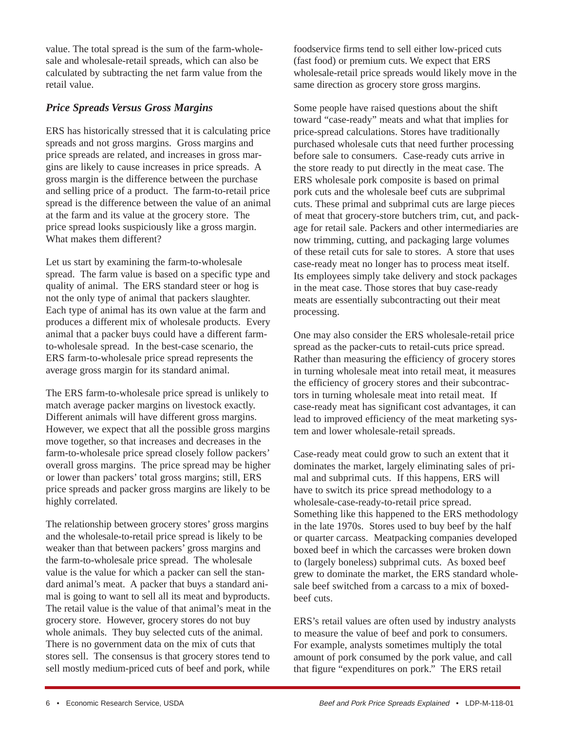value. The total spread is the sum of the farm-wholesale and wholesale-retail spreads, which can also be calculated by subtracting the net farm value from the retail value.

# *Price Spreads Versus Gross Margins*

ERS has historically stressed that it is calculating price spreads and not gross margins. Gross margins and price spreads are related, and increases in gross margins are likely to cause increases in price spreads. A gross margin is the difference between the purchase and selling price of a product. The farm-to-retail price spread is the difference between the value of an animal at the farm and its value at the grocery store. The price spread looks suspiciously like a gross margin. What makes them different?

Let us start by examining the farm-to-wholesale spread. The farm value is based on a specific type and quality of animal. The ERS standard steer or hog is not the only type of animal that packers slaughter. Each type of animal has its own value at the farm and produces a different mix of wholesale products. Every animal that a packer buys could have a different farmto-wholesale spread. In the best-case scenario, the ERS farm-to-wholesale price spread represents the average gross margin for its standard animal.

The ERS farm-to-wholesale price spread is unlikely to match average packer margins on livestock exactly. Different animals will have different gross margins. However, we expect that all the possible gross margins move together, so that increases and decreases in the farm-to-wholesale price spread closely follow packers' overall gross margins. The price spread may be higher or lower than packers' total gross margins; still, ERS price spreads and packer gross margins are likely to be highly correlated.

The relationship between grocery stores' gross margins and the wholesale-to-retail price spread is likely to be weaker than that between packers' gross margins and the farm-to-wholesale price spread. The wholesale value is the value for which a packer can sell the standard animal's meat. A packer that buys a standard animal is going to want to sell all its meat and byproducts. The retail value is the value of that animal's meat in the grocery store. However, grocery stores do not buy whole animals. They buy selected cuts of the animal. There is no government data on the mix of cuts that stores sell. The consensus is that grocery stores tend to sell mostly medium-priced cuts of beef and pork, while

foodservice firms tend to sell either low-priced cuts (fast food) or premium cuts. We expect that ERS wholesale-retail price spreads would likely move in the same direction as grocery store gross margins.

Some people have raised questions about the shift toward "case-ready" meats and what that implies for price-spread calculations. Stores have traditionally purchased wholesale cuts that need further processing before sale to consumers. Case-ready cuts arrive in the store ready to put directly in the meat case. The ERS wholesale pork composite is based on primal pork cuts and the wholesale beef cuts are subprimal cuts. These primal and subprimal cuts are large pieces of meat that grocery-store butchers trim, cut, and package for retail sale. Packers and other intermediaries are now trimming, cutting, and packaging large volumes of these retail cuts for sale to stores. A store that uses case-ready meat no longer has to process meat itself. Its employees simply take delivery and stock packages in the meat case. Those stores that buy case-ready meats are essentially subcontracting out their meat processing.

One may also consider the ERS wholesale-retail price spread as the packer-cuts to retail-cuts price spread. Rather than measuring the efficiency of grocery stores in turning wholesale meat into retail meat, it measures the efficiency of grocery stores and their subcontractors in turning wholesale meat into retail meat. If case-ready meat has significant cost advantages, it can lead to improved efficiency of the meat marketing system and lower wholesale-retail spreads.

Case-ready meat could grow to such an extent that it dominates the market, largely eliminating sales of primal and subprimal cuts. If this happens, ERS will have to switch its price spread methodology to a wholesale-case-ready-to-retail price spread. Something like this happened to the ERS methodology in the late 1970s. Stores used to buy beef by the half or quarter carcass. Meatpacking companies developed boxed beef in which the carcasses were broken down to (largely boneless) subprimal cuts. As boxed beef grew to dominate the market, the ERS standard wholesale beef switched from a carcass to a mix of boxedbeef cuts.

ERS's retail values are often used by industry analysts to measure the value of beef and pork to consumers. For example, analysts sometimes multiply the total amount of pork consumed by the pork value, and call that figure "expenditures on pork." The ERS retail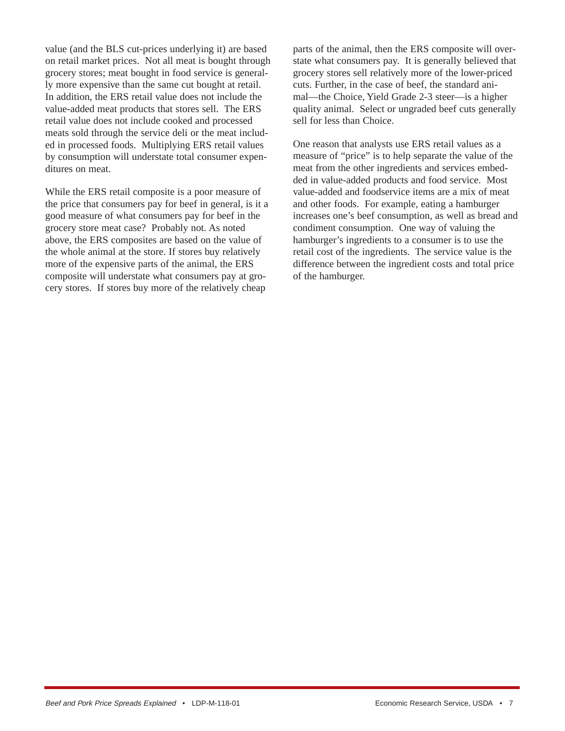value (and the BLS cut-prices underlying it) are based on retail market prices. Not all meat is bought through grocery stores; meat bought in food service is generally more expensive than the same cut bought at retail. In addition, the ERS retail value does not include the value-added meat products that stores sell. The ERS retail value does not include cooked and processed meats sold through the service deli or the meat included in processed foods. Multiplying ERS retail values by consumption will understate total consumer expenditures on meat.

While the ERS retail composite is a poor measure of the price that consumers pay for beef in general, is it a good measure of what consumers pay for beef in the grocery store meat case? Probably not. As noted above, the ERS composites are based on the value of the whole animal at the store. If stores buy relatively more of the expensive parts of the animal, the ERS composite will understate what consumers pay at grocery stores. If stores buy more of the relatively cheap

parts of the animal, then the ERS composite will overstate what consumers pay. It is generally believed that grocery stores sell relatively more of the lower-priced cuts. Further, in the case of beef, the standard animal—the Choice, Yield Grade 2-3 steer—is a higher quality animal. Select or ungraded beef cuts generally sell for less than Choice.

One reason that analysts use ERS retail values as a measure of "price" is to help separate the value of the meat from the other ingredients and services embedded in value-added products and food service. Most value-added and foodservice items are a mix of meat and other foods. For example, eating a hamburger increases one's beef consumption, as well as bread and condiment consumption. One way of valuing the hamburger's ingredients to a consumer is to use the retail cost of the ingredients. The service value is the difference between the ingredient costs and total price of the hamburger.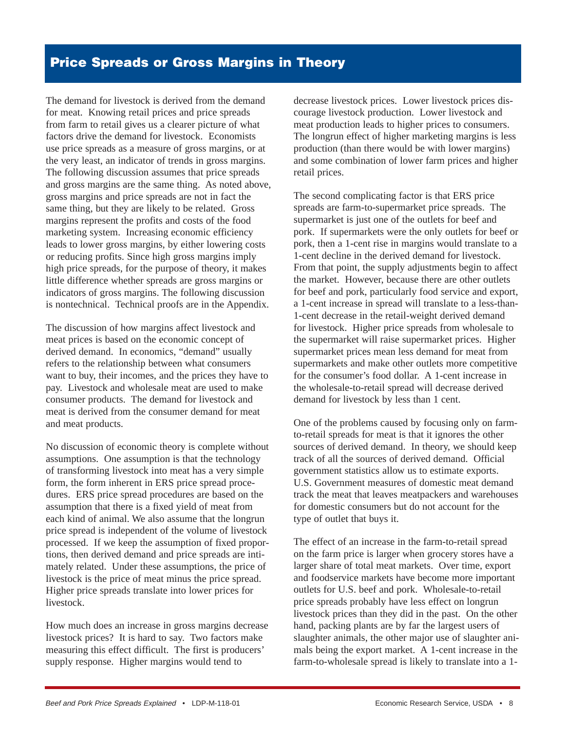# **Price Spreads or Gross Margins in Theory**

The demand for livestock is derived from the demand for meat. Knowing retail prices and price spreads from farm to retail gives us a clearer picture of what factors drive the demand for livestock. Economists use price spreads as a measure of gross margins, or at the very least, an indicator of trends in gross margins. The following discussion assumes that price spreads and gross margins are the same thing. As noted above, gross margins and price spreads are not in fact the same thing, but they are likely to be related. Gross margins represent the profits and costs of the food marketing system. Increasing economic efficiency leads to lower gross margins, by either lowering costs or reducing profits. Since high gross margins imply high price spreads, for the purpose of theory, it makes little difference whether spreads are gross margins or indicators of gross margins. The following discussion is nontechnical. Technical proofs are in the Appendix.

The discussion of how margins affect livestock and meat prices is based on the economic concept of derived demand. In economics, "demand" usually refers to the relationship between what consumers want to buy, their incomes, and the prices they have to pay. Livestock and wholesale meat are used to make consumer products. The demand for livestock and meat is derived from the consumer demand for meat and meat products.

No discussion of economic theory is complete without assumptions. One assumption is that the technology of transforming livestock into meat has a very simple form, the form inherent in ERS price spread procedures. ERS price spread procedures are based on the assumption that there is a fixed yield of meat from each kind of animal. We also assume that the longrun price spread is independent of the volume of livestock processed. If we keep the assumption of fixed proportions, then derived demand and price spreads are intimately related. Under these assumptions, the price of livestock is the price of meat minus the price spread. Higher price spreads translate into lower prices for livestock.

How much does an increase in gross margins decrease livestock prices? It is hard to say. Two factors make measuring this effect difficult. The first is producers' supply response. Higher margins would tend to

decrease livestock prices. Lower livestock prices discourage livestock production. Lower livestock and meat production leads to higher prices to consumers. The longrun effect of higher marketing margins is less production (than there would be with lower margins) and some combination of lower farm prices and higher retail prices.

The second complicating factor is that ERS price spreads are farm-to-supermarket price spreads. The supermarket is just one of the outlets for beef and pork. If supermarkets were the only outlets for beef or pork, then a 1-cent rise in margins would translate to a 1-cent decline in the derived demand for livestock. From that point, the supply adjustments begin to affect the market. However, because there are other outlets for beef and pork, particularly food service and export, a 1-cent increase in spread will translate to a less-than-1-cent decrease in the retail-weight derived demand for livestock. Higher price spreads from wholesale to the supermarket will raise supermarket prices. Higher supermarket prices mean less demand for meat from supermarkets and make other outlets more competitive for the consumer's food dollar. A 1-cent increase in the wholesale-to-retail spread will decrease derived demand for livestock by less than 1 cent.

One of the problems caused by focusing only on farmto-retail spreads for meat is that it ignores the other sources of derived demand. In theory, we should keep track of all the sources of derived demand. Official government statistics allow us to estimate exports. U.S. Government measures of domestic meat demand track the meat that leaves meatpackers and warehouses for domestic consumers but do not account for the type of outlet that buys it.

The effect of an increase in the farm-to-retail spread on the farm price is larger when grocery stores have a larger share of total meat markets. Over time, export and foodservice markets have become more important outlets for U.S. beef and pork. Wholesale-to-retail price spreads probably have less effect on longrun livestock prices than they did in the past. On the other hand, packing plants are by far the largest users of slaughter animals, the other major use of slaughter animals being the export market. A 1-cent increase in the farm-to-wholesale spread is likely to translate into a 1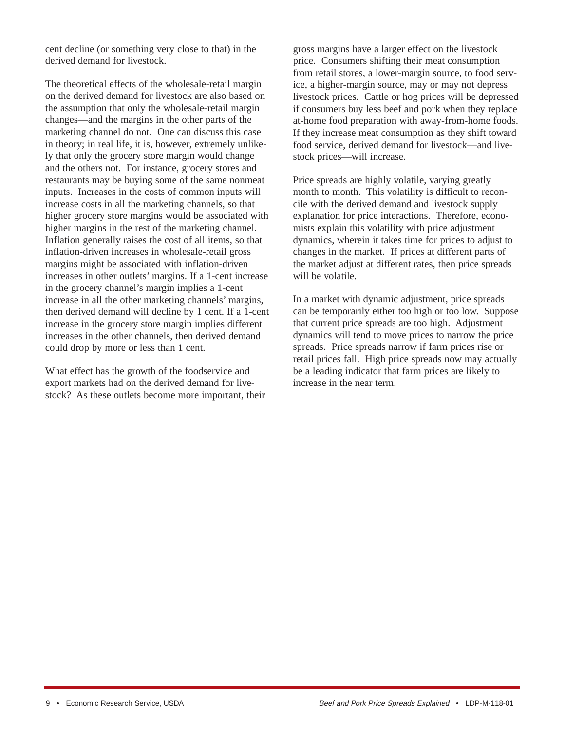cent decline (or something very close to that) in the derived demand for livestock.

The theoretical effects of the wholesale-retail margin on the derived demand for livestock are also based on the assumption that only the wholesale-retail margin changes—and the margins in the other parts of the marketing channel do not. One can discuss this case in theory; in real life, it is, however, extremely unlikely that only the grocery store margin would change and the others not. For instance, grocery stores and restaurants may be buying some of the same nonmeat inputs. Increases in the costs of common inputs will increase costs in all the marketing channels, so that higher grocery store margins would be associated with higher margins in the rest of the marketing channel. Inflation generally raises the cost of all items, so that inflation-driven increases in wholesale-retail gross margins might be associated with inflation-driven increases in other outlets' margins. If a 1-cent increase in the grocery channel's margin implies a 1-cent increase in all the other marketing channels' margins, then derived demand will decline by 1 cent. If a 1-cent increase in the grocery store margin implies different increases in the other channels, then derived demand could drop by more or less than 1 cent.

What effect has the growth of the foodservice and export markets had on the derived demand for livestock? As these outlets become more important, their gross margins have a larger effect on the livestock price. Consumers shifting their meat consumption from retail stores, a lower-margin source, to food service, a higher-margin source, may or may not depress livestock prices. Cattle or hog prices will be depressed if consumers buy less beef and pork when they replace at-home food preparation with away-from-home foods. If they increase meat consumption as they shift toward food service, derived demand for livestock—and livestock prices—will increase.

Price spreads are highly volatile, varying greatly month to month. This volatility is difficult to reconcile with the derived demand and livestock supply explanation for price interactions. Therefore, economists explain this volatility with price adjustment dynamics, wherein it takes time for prices to adjust to changes in the market. If prices at different parts of the market adjust at different rates, then price spreads will be volatile.

In a market with dynamic adjustment, price spreads can be temporarily either too high or too low. Suppose that current price spreads are too high. Adjustment dynamics will tend to move prices to narrow the price spreads. Price spreads narrow if farm prices rise or retail prices fall. High price spreads now may actually be a leading indicator that farm prices are likely to increase in the near term.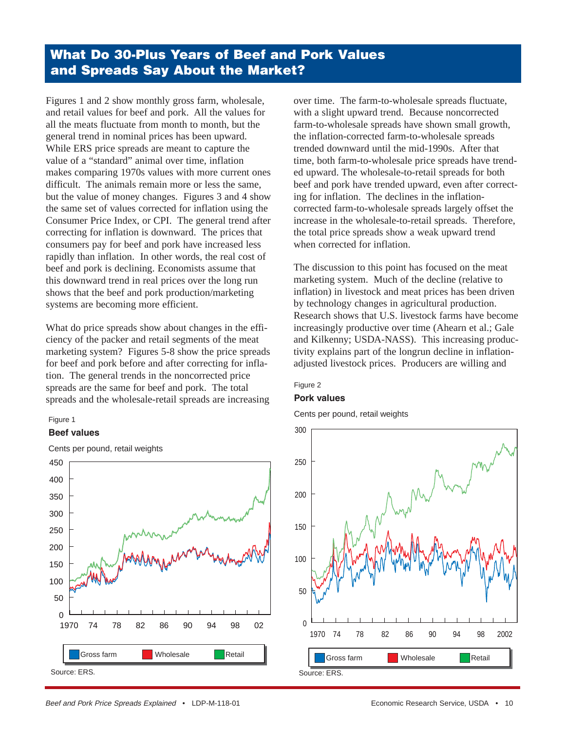# **What Do 30-Plus Years of Beef and Pork Values and Spreads Say About the Market?**

Figures 1 and 2 show monthly gross farm, wholesale, and retail values for beef and pork. All the values for all the meats fluctuate from month to month, but the general trend in nominal prices has been upward. While ERS price spreads are meant to capture the value of a "standard" animal over time, inflation makes comparing 1970s values with more current ones difficult. The animals remain more or less the same, but the value of money changes. Figures 3 and 4 show the same set of values corrected for inflation using the Consumer Price Index, or CPI. The general trend after correcting for inflation is downward. The prices that consumers pay for beef and pork have increased less rapidly than inflation. In other words, the real cost of beef and pork is declining. Economists assume that this downward trend in real prices over the long run shows that the beef and pork production/marketing systems are becoming more efficient.

What do price spreads show about changes in the efficiency of the packer and retail segments of the meat marketing system? Figures 5-8 show the price spreads for beef and pork before and after correcting for inflation. The general trends in the noncorrected price spreads are the same for beef and pork. The total spreads and the wholesale-retail spreads are increasing

#### Figure 1

#### **Beef values**



Cents per pound, retail weights

over time. The farm-to-wholesale spreads fluctuate, with a slight upward trend. Because noncorrected farm-to-wholesale spreads have shown small growth, the inflation-corrected farm-to-wholesale spreads trended downward until the mid-1990s. After that time, both farm-to-wholesale price spreads have trended upward. The wholesale-to-retail spreads for both beef and pork have trended upward, even after correcting for inflation. The declines in the inflationcorrected farm-to-wholesale spreads largely offset the increase in the wholesale-to-retail spreads. Therefore, the total price spreads show a weak upward trend when corrected for inflation.

The discussion to this point has focused on the meat marketing system. Much of the decline (relative to inflation) in livestock and meat prices has been driven by technology changes in agricultural production. Research shows that U.S. livestock farms have become increasingly productive over time (Ahearn et al.; Gale and Kilkenny; USDA-NASS). This increasing productivity explains part of the longrun decline in inflationadjusted livestock prices. Producers are willing and

#### Figure 2

#### **Pork values**

Cents per pound, retail weights

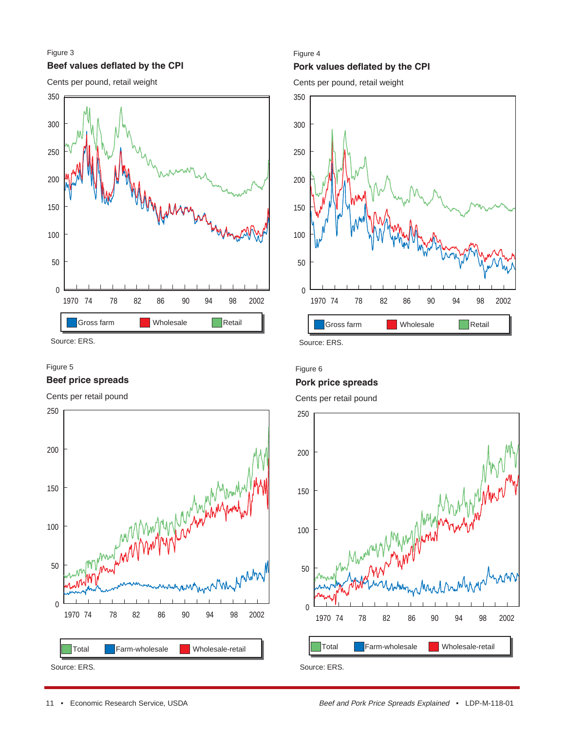### **Beef values deflated by the CPI** Figure 3





Source: ERS. Source: ERS.

#### Figure 5

#### **Beef price spreads**

Cents per retail pound



#### Figure 4

### **Pork values deflated by the CPI**

Cents per pound, retail weight



#### Figure 6

#### **Pork price spreads**

Cents per retail pound

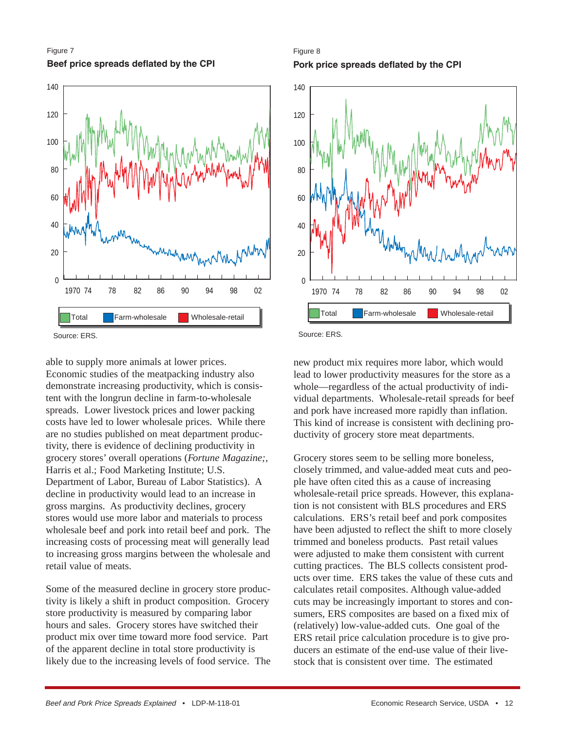



able to supply more animals at lower prices. Economic studies of the meatpacking industry also demonstrate increasing productivity, which is consistent with the longrun decline in farm-to-wholesale spreads. Lower livestock prices and lower packing costs have led to lower wholesale prices. While there are no studies published on meat department productivity, there is evidence of declining productivity in grocery stores' overall operations (*Fortune Magazine;*, Harris et al.; Food Marketing Institute; U.S. Department of Labor, Bureau of Labor Statistics). A decline in productivity would lead to an increase in gross margins. As productivity declines, grocery stores would use more labor and materials to process wholesale beef and pork into retail beef and pork. The increasing costs of processing meat will generally lead to increasing gross margins between the wholesale and retail value of meats.

Some of the measured decline in grocery store productivity is likely a shift in product composition. Grocery store productivity is measured by comparing labor hours and sales. Grocery stores have switched their product mix over time toward more food service. Part of the apparent decline in total store productivity is likely due to the increasing levels of food service. The





new product mix requires more labor, which would lead to lower productivity measures for the store as a whole—regardless of the actual productivity of individual departments. Wholesale-retail spreads for beef and pork have increased more rapidly than inflation. This kind of increase is consistent with declining productivity of grocery store meat departments.

Grocery stores seem to be selling more boneless, closely trimmed, and value-added meat cuts and people have often cited this as a cause of increasing wholesale-retail price spreads. However, this explanation is not consistent with BLS procedures and ERS calculations. ERS's retail beef and pork composites have been adjusted to reflect the shift to more closely trimmed and boneless products. Past retail values were adjusted to make them consistent with current cutting practices. The BLS collects consistent products over time. ERS takes the value of these cuts and calculates retail composites. Although value-added cuts may be increasingly important to stores and consumers, ERS composites are based on a fixed mix of (relatively) low-value-added cuts. One goal of the ERS retail price calculation procedure is to give producers an estimate of the end-use value of their livestock that is consistent over time. The estimated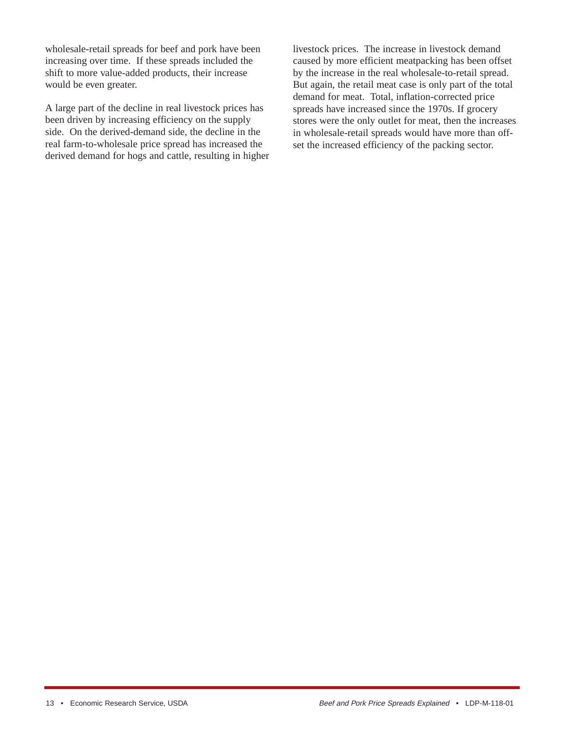wholesale-retail spreads for beef and pork have been increasing over time. If these spreads included the shift to more value-added products, their increase would be even greater.

A large part of the decline in real livestock prices has been driven by increasing efficiency on the supply side. On the derived-demand side, the decline in the real farm-to-wholesale price spread has increased the derived demand for hogs and cattle, resulting in higher

livestock prices. The increase in livestock demand caused by more efficient meatpacking has been offset by the increase in the real wholesale-to-retail spread. But again, the retail meat case is only part of the total demand for meat. Total, inflation-corrected price spreads have increased since the 1970s. If grocery stores were the only outlet for meat, then the increases in wholesale-retail spreads would have more than offset the increased efficiency of the packing sector.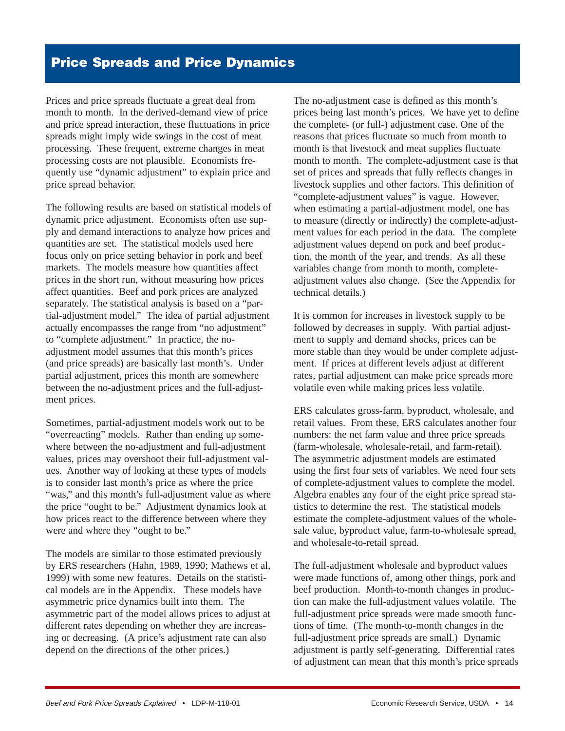# **Price Spreads and Price Dynamics**

Prices and price spreads fluctuate a great deal from month to month. In the derived-demand view of price and price spread interaction, these fluctuations in price spreads might imply wide swings in the cost of meat processing. These frequent, extreme changes in meat processing costs are not plausible. Economists frequently use "dynamic adjustment" to explain price and price spread behavior.

The following results are based on statistical models of dynamic price adjustment. Economists often use supply and demand interactions to analyze how prices and quantities are set. The statistical models used here focus only on price setting behavior in pork and beef markets. The models measure how quantities affect prices in the short run, without measuring how prices affect quantities. Beef and pork prices are analyzed separately. The statistical analysis is based on a "partial-adjustment model." The idea of partial adjustment actually encompasses the range from "no adjustment" to "complete adjustment." In practice, the noadjustment model assumes that this month's prices (and price spreads) are basically last month's. Under partial adjustment, prices this month are somewhere between the no-adjustment prices and the full-adjustment prices.

Sometimes, partial-adjustment models work out to be "overreacting" models. Rather than ending up somewhere between the no-adjustment and full-adjustment values, prices may overshoot their full-adjustment values. Another way of looking at these types of models is to consider last month's price as where the price "was," and this month's full-adjustment value as where the price "ought to be." Adjustment dynamics look at how prices react to the difference between where they were and where they "ought to be."

The models are similar to those estimated previously by ERS researchers (Hahn, 1989, 1990; Mathews et al, 1999) with some new features. Details on the statistical models are in the Appendix. These models have asymmetric price dynamics built into them. The asymmetric part of the model allows prices to adjust at different rates depending on whether they are increasing or decreasing. (A price's adjustment rate can also depend on the directions of the other prices.)

The no-adjustment case is defined as this month's prices being last month's prices. We have yet to define the complete- (or full-) adjustment case. One of the reasons that prices fluctuate so much from month to month is that livestock and meat supplies fluctuate month to month. The complete-adjustment case is that set of prices and spreads that fully reflects changes in livestock supplies and other factors. This definition of "complete-adjustment values" is vague. However, when estimating a partial-adjustment model, one has to measure (directly or indirectly) the complete-adjustment values for each period in the data. The complete adjustment values depend on pork and beef production, the month of the year, and trends. As all these variables change from month to month, completeadjustment values also change. (See the Appendix for technical details.)

It is common for increases in livestock supply to be followed by decreases in supply. With partial adjustment to supply and demand shocks, prices can be more stable than they would be under complete adjustment. If prices at different levels adjust at different rates, partial adjustment can make price spreads more volatile even while making prices less volatile.

ERS calculates gross-farm, byproduct, wholesale, and retail values. From these, ERS calculates another four numbers: the net farm value and three price spreads (farm-wholesale, wholesale-retail, and farm-retail). The asymmetric adjustment models are estimated using the first four sets of variables. We need four sets of complete-adjustment values to complete the model. Algebra enables any four of the eight price spread statistics to determine the rest. The statistical models estimate the complete-adjustment values of the wholesale value, byproduct value, farm-to-wholesale spread, and wholesale-to-retail spread.

The full-adjustment wholesale and byproduct values were made functions of, among other things, pork and beef production. Month-to-month changes in production can make the full-adjustment values volatile. The full-adjustment price spreads were made smooth functions of time. (The month-to-month changes in the full-adjustment price spreads are small.) Dynamic adjustment is partly self-generating. Differential rates of adjustment can mean that this month's price spreads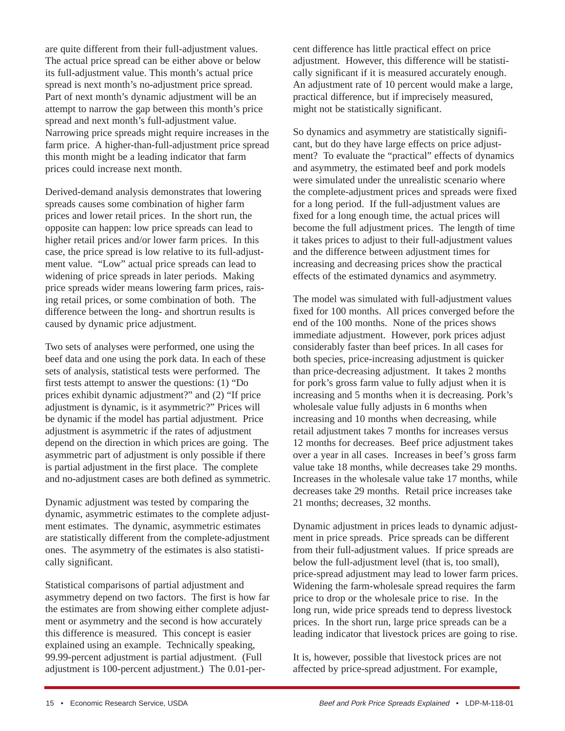are quite different from their full-adjustment values. The actual price spread can be either above or below its full-adjustment value. This month's actual price spread is next month's no-adjustment price spread. Part of next month's dynamic adjustment will be an attempt to narrow the gap between this month's price spread and next month's full-adjustment value. Narrowing price spreads might require increases in the farm price. A higher-than-full-adjustment price spread this month might be a leading indicator that farm prices could increase next month.

Derived-demand analysis demonstrates that lowering spreads causes some combination of higher farm prices and lower retail prices. In the short run, the opposite can happen: low price spreads can lead to higher retail prices and/or lower farm prices. In this case, the price spread is low relative to its full-adjustment value. "Low" actual price spreads can lead to widening of price spreads in later periods. Making price spreads wider means lowering farm prices, raising retail prices, or some combination of both. The difference between the long- and shortrun results is caused by dynamic price adjustment.

Two sets of analyses were performed, one using the beef data and one using the pork data. In each of these sets of analysis, statistical tests were performed. The first tests attempt to answer the questions: (1) "Do prices exhibit dynamic adjustment?" and (2) "If price adjustment is dynamic, is it asymmetric?" Prices will be dynamic if the model has partial adjustment. Price adjustment is asymmetric if the rates of adjustment depend on the direction in which prices are going. The asymmetric part of adjustment is only possible if there is partial adjustment in the first place. The complete and no-adjustment cases are both defined as symmetric.

Dynamic adjustment was tested by comparing the dynamic, asymmetric estimates to the complete adjustment estimates. The dynamic, asymmetric estimates are statistically different from the complete-adjustment ones. The asymmetry of the estimates is also statistically significant.

Statistical comparisons of partial adjustment and asymmetry depend on two factors. The first is how far the estimates are from showing either complete adjustment or asymmetry and the second is how accurately this difference is measured. This concept is easier explained using an example. Technically speaking, 99.99-percent adjustment is partial adjustment. (Full adjustment is 100-percent adjustment.) The 0.01-per-

cent difference has little practical effect on price adjustment. However, this difference will be statistically significant if it is measured accurately enough. An adjustment rate of 10 percent would make a large, practical difference, but if imprecisely measured, might not be statistically significant.

So dynamics and asymmetry are statistically significant, but do they have large effects on price adjustment? To evaluate the "practical" effects of dynamics and asymmetry, the estimated beef and pork models were simulated under the unrealistic scenario where the complete-adjustment prices and spreads were fixed for a long period. If the full-adjustment values are fixed for a long enough time, the actual prices will become the full adjustment prices. The length of time it takes prices to adjust to their full-adjustment values and the difference between adjustment times for increasing and decreasing prices show the practical effects of the estimated dynamics and asymmetry.

The model was simulated with full-adjustment values fixed for 100 months. All prices converged before the end of the 100 months. None of the prices shows immediate adjustment. However, pork prices adjust considerably faster than beef prices. In all cases for both species, price-increasing adjustment is quicker than price-decreasing adjustment. It takes 2 months for pork's gross farm value to fully adjust when it is increasing and 5 months when it is decreasing. Pork's wholesale value fully adjusts in 6 months when increasing and 10 months when decreasing, while retail adjustment takes 7 months for increases versus 12 months for decreases. Beef price adjustment takes over a year in all cases. Increases in beef's gross farm value take 18 months, while decreases take 29 months. Increases in the wholesale value take 17 months, while decreases take 29 months. Retail price increases take 21 months; decreases, 32 months.

Dynamic adjustment in prices leads to dynamic adjustment in price spreads. Price spreads can be different from their full-adjustment values. If price spreads are below the full-adjustment level (that is, too small), price-spread adjustment may lead to lower farm prices. Widening the farm-wholesale spread requires the farm price to drop or the wholesale price to rise. In the long run, wide price spreads tend to depress livestock prices. In the short run, large price spreads can be a leading indicator that livestock prices are going to rise.

It is, however, possible that livestock prices are not affected by price-spread adjustment. For example,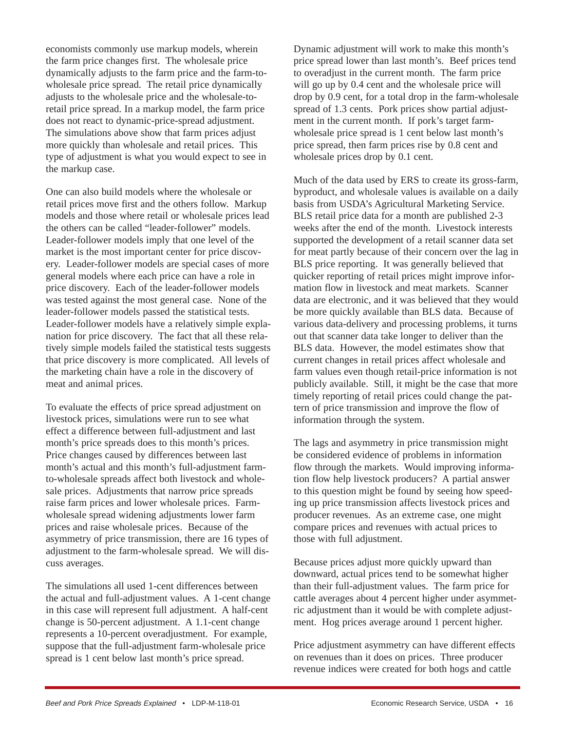economists commonly use markup models, wherein the farm price changes first. The wholesale price dynamically adjusts to the farm price and the farm-towholesale price spread. The retail price dynamically adjusts to the wholesale price and the wholesale-toretail price spread. In a markup model, the farm price does not react to dynamic-price-spread adjustment. The simulations above show that farm prices adjust more quickly than wholesale and retail prices. This type of adjustment is what you would expect to see in the markup case.

One can also build models where the wholesale or retail prices move first and the others follow. Markup models and those where retail or wholesale prices lead the others can be called "leader-follower" models. Leader-follower models imply that one level of the market is the most important center for price discovery. Leader-follower models are special cases of more general models where each price can have a role in price discovery. Each of the leader-follower models was tested against the most general case. None of the leader-follower models passed the statistical tests. Leader-follower models have a relatively simple explanation for price discovery. The fact that all these relatively simple models failed the statistical tests suggests that price discovery is more complicated. All levels of the marketing chain have a role in the discovery of meat and animal prices.

To evaluate the effects of price spread adjustment on livestock prices, simulations were run to see what effect a difference between full-adjustment and last month's price spreads does to this month's prices. Price changes caused by differences between last month's actual and this month's full-adjustment farmto-wholesale spreads affect both livestock and wholesale prices. Adjustments that narrow price spreads raise farm prices and lower wholesale prices. Farmwholesale spread widening adjustments lower farm prices and raise wholesale prices. Because of the asymmetry of price transmission, there are 16 types of adjustment to the farm-wholesale spread. We will discuss averages.

The simulations all used 1-cent differences between the actual and full-adjustment values. A 1-cent change in this case will represent full adjustment. A half-cent change is 50-percent adjustment. A 1.1-cent change represents a 10-percent overadjustment. For example, suppose that the full-adjustment farm-wholesale price spread is 1 cent below last month's price spread.

Dynamic adjustment will work to make this month's price spread lower than last month's. Beef prices tend to overadjust in the current month. The farm price will go up by 0.4 cent and the wholesale price will drop by 0.9 cent, for a total drop in the farm-wholesale spread of 1.3 cents. Pork prices show partial adjustment in the current month. If pork's target farmwholesale price spread is 1 cent below last month's price spread, then farm prices rise by 0.8 cent and wholesale prices drop by 0.1 cent.

Much of the data used by ERS to create its gross-farm, byproduct, and wholesale values is available on a daily basis from USDA's Agricultural Marketing Service. BLS retail price data for a month are published 2-3 weeks after the end of the month. Livestock interests supported the development of a retail scanner data set for meat partly because of their concern over the lag in BLS price reporting. It was generally believed that quicker reporting of retail prices might improve information flow in livestock and meat markets. Scanner data are electronic, and it was believed that they would be more quickly available than BLS data. Because of various data-delivery and processing problems, it turns out that scanner data take longer to deliver than the BLS data. However, the model estimates show that current changes in retail prices affect wholesale and farm values even though retail-price information is not publicly available. Still, it might be the case that more timely reporting of retail prices could change the pattern of price transmission and improve the flow of information through the system.

The lags and asymmetry in price transmission might be considered evidence of problems in information flow through the markets. Would improving information flow help livestock producers? A partial answer to this question might be found by seeing how speeding up price transmission affects livestock prices and producer revenues. As an extreme case, one might compare prices and revenues with actual prices to those with full adjustment.

Because prices adjust more quickly upward than downward, actual prices tend to be somewhat higher than their full-adjustment values. The farm price for cattle averages about 4 percent higher under asymmetric adjustment than it would be with complete adjustment. Hog prices average around 1 percent higher.

Price adjustment asymmetry can have different effects on revenues than it does on prices. Three producer revenue indices were created for both hogs and cattle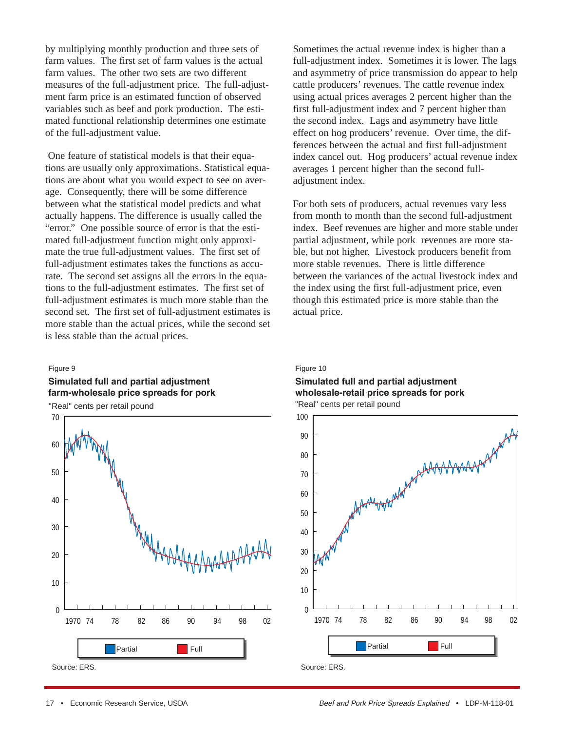by multiplying monthly production and three sets of farm values. The first set of farm values is the actual farm values. The other two sets are two different measures of the full-adjustment price. The full-adjustment farm price is an estimated function of observed variables such as beef and pork production. The estimated functional relationship determines one estimate of the full-adjustment value.

One feature of statistical models is that their equations are usually only approximations. Statistical equations are about what you would expect to see on average. Consequently, there will be some difference between what the statistical model predicts and what actually happens. The difference is usually called the "error." One possible source of error is that the estimated full-adjustment function might only approximate the true full-adjustment values. The first set of full-adjustment estimates takes the functions as accurate. The second set assigns all the errors in the equations to the full-adjustment estimates. The first set of full-adjustment estimates is much more stable than the second set. The first set of full-adjustment estimates is more stable than the actual prices, while the second set is less stable than the actual prices.

#### Figure 9

### **Simulated full and partial adjustment farm-wholesale price spreads for pork**

"Real" cents per retail pound



Sometimes the actual revenue index is higher than a full-adjustment index. Sometimes it is lower. The lags and asymmetry of price transmission do appear to help cattle producers' revenues. The cattle revenue index using actual prices averages 2 percent higher than the first full-adjustment index and 7 percent higher than the second index. Lags and asymmetry have little effect on hog producers' revenue. Over time, the differences between the actual and first full-adjustment index cancel out. Hog producers' actual revenue index averages 1 percent higher than the second fulladjustment index.

For both sets of producers, actual revenues vary less from month to month than the second full-adjustment index. Beef revenues are higher and more stable under partial adjustment, while pork revenues are more stable, but not higher. Livestock producers benefit from more stable revenues. There is little difference between the variances of the actual livestock index and the index using the first full-adjustment price, even though this estimated price is more stable than the actual price.

#### Figure 10

#### **Simulated full and partial adjustment wholesale-retail price spreads for pork** "Real" cents per retail pound

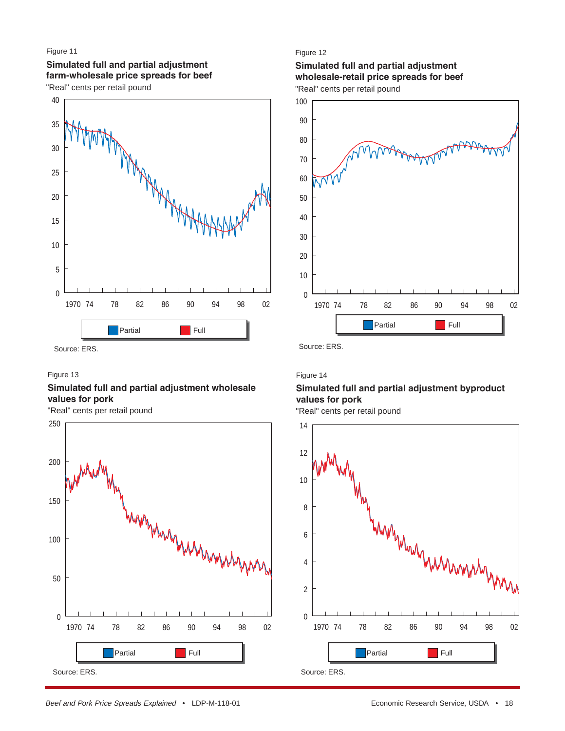#### Figure 11

#### **Simulated full and partial adjustment farm-wholesale price spreads for beef**

"Real" cents per retail pound



#### Figure 13

#### **Simulated full and partial adjustment wholesale values for pork**

"Real" cents per retail pound



#### Figure 12

# **Simulated full and partial adjustment wholesale-retail price spreads for beef**

"Real" cents per retail pound



#### Figure 14

### **Simulated full and partial adjustment byproduct values for pork**

"Real" cents per retail pound

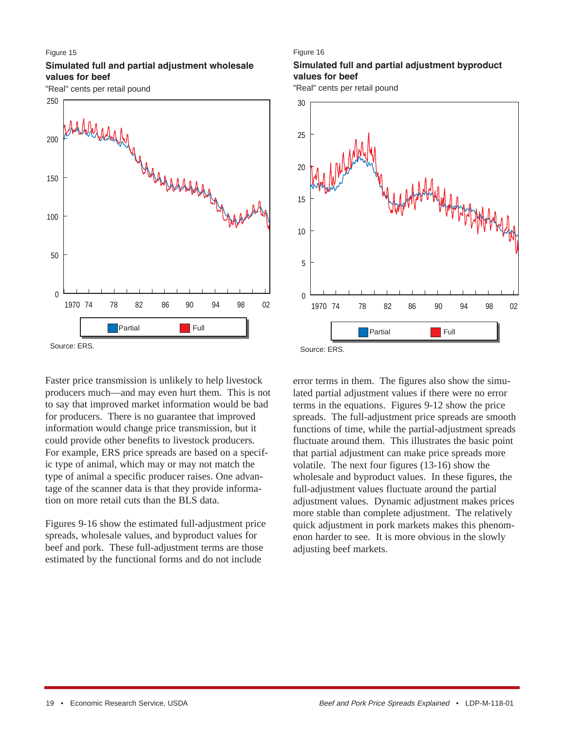#### Figure 15

#### **Simulated full and partial adjustment wholesale values for beef**

"Real" cents per retail pound



#### Figure 16

### **Simulated full and partial adjustment byproduct values for beef**

"Real" cents per retail pound



Faster price transmission is unlikely to help livestock producers much—and may even hurt them. This is not to say that improved market information would be bad for producers. There is no guarantee that improved information would change price transmission, but it could provide other benefits to livestock producers. For example, ERS price spreads are based on a specific type of animal, which may or may not match the type of animal a specific producer raises. One advantage of the scanner data is that they provide information on more retail cuts than the BLS data.

Figures 9-16 show the estimated full-adjustment price spreads, wholesale values, and byproduct values for beef and pork. These full-adjustment terms are those estimated by the functional forms and do not include

error terms in them. The figures also show the simulated partial adjustment values if there were no error terms in the equations. Figures 9-12 show the price spreads. The full-adjustment price spreads are smooth functions of time, while the partial-adjustment spreads fluctuate around them. This illustrates the basic point that partial adjustment can make price spreads more volatile. The next four figures (13-16) show the wholesale and byproduct values. In these figures, the full-adjustment values fluctuate around the partial adjustment values. Dynamic adjustment makes prices more stable than complete adjustment. The relatively quick adjustment in pork markets makes this phenomenon harder to see. It is more obvious in the slowly adjusting beef markets.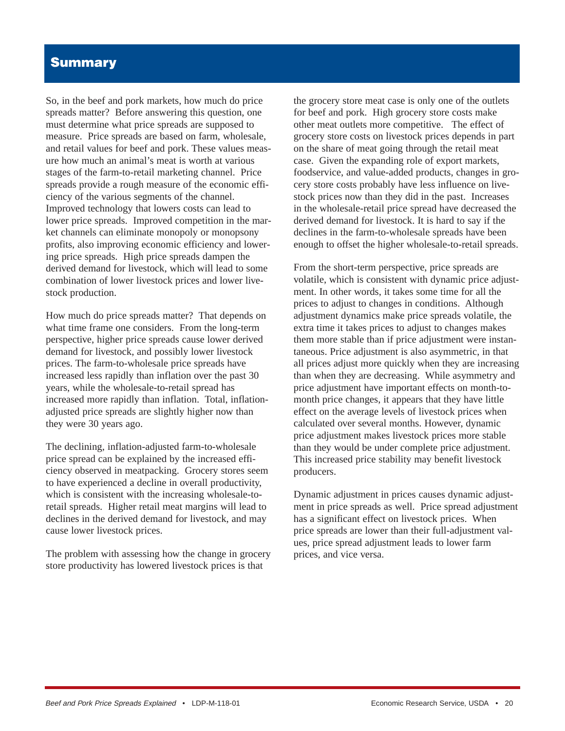# **Summary**

So, in the beef and pork markets, how much do price spreads matter? Before answering this question, one must determine what price spreads are supposed to measure. Price spreads are based on farm, wholesale, and retail values for beef and pork. These values measure how much an animal's meat is worth at various stages of the farm-to-retail marketing channel. Price spreads provide a rough measure of the economic efficiency of the various segments of the channel. Improved technology that lowers costs can lead to lower price spreads. Improved competition in the market channels can eliminate monopoly or monopsony profits, also improving economic efficiency and lowering price spreads. High price spreads dampen the derived demand for livestock, which will lead to some combination of lower livestock prices and lower livestock production.

How much do price spreads matter? That depends on what time frame one considers. From the long-term perspective, higher price spreads cause lower derived demand for livestock, and possibly lower livestock prices. The farm-to-wholesale price spreads have increased less rapidly than inflation over the past 30 years, while the wholesale-to-retail spread has increased more rapidly than inflation. Total, inflationadjusted price spreads are slightly higher now than they were 30 years ago.

The declining, inflation-adjusted farm-to-wholesale price spread can be explained by the increased efficiency observed in meatpacking. Grocery stores seem to have experienced a decline in overall productivity, which is consistent with the increasing wholesale-toretail spreads. Higher retail meat margins will lead to declines in the derived demand for livestock, and may cause lower livestock prices.

The problem with assessing how the change in grocery store productivity has lowered livestock prices is that

the grocery store meat case is only one of the outlets for beef and pork. High grocery store costs make other meat outlets more competitive. The effect of grocery store costs on livestock prices depends in part on the share of meat going through the retail meat case. Given the expanding role of export markets, foodservice, and value-added products, changes in grocery store costs probably have less influence on livestock prices now than they did in the past. Increases in the wholesale-retail price spread have decreased the derived demand for livestock. It is hard to say if the declines in the farm-to-wholesale spreads have been enough to offset the higher wholesale-to-retail spreads.

From the short-term perspective, price spreads are volatile, which is consistent with dynamic price adjustment. In other words, it takes some time for all the prices to adjust to changes in conditions. Although adjustment dynamics make price spreads volatile, the extra time it takes prices to adjust to changes makes them more stable than if price adjustment were instantaneous. Price adjustment is also asymmetric, in that all prices adjust more quickly when they are increasing than when they are decreasing. While asymmetry and price adjustment have important effects on month-tomonth price changes, it appears that they have little effect on the average levels of livestock prices when calculated over several months. However, dynamic price adjustment makes livestock prices more stable than they would be under complete price adjustment. This increased price stability may benefit livestock producers.

Dynamic adjustment in prices causes dynamic adjustment in price spreads as well. Price spread adjustment has a significant effect on livestock prices. When price spreads are lower than their full-adjustment values, price spread adjustment leads to lower farm prices, and vice versa.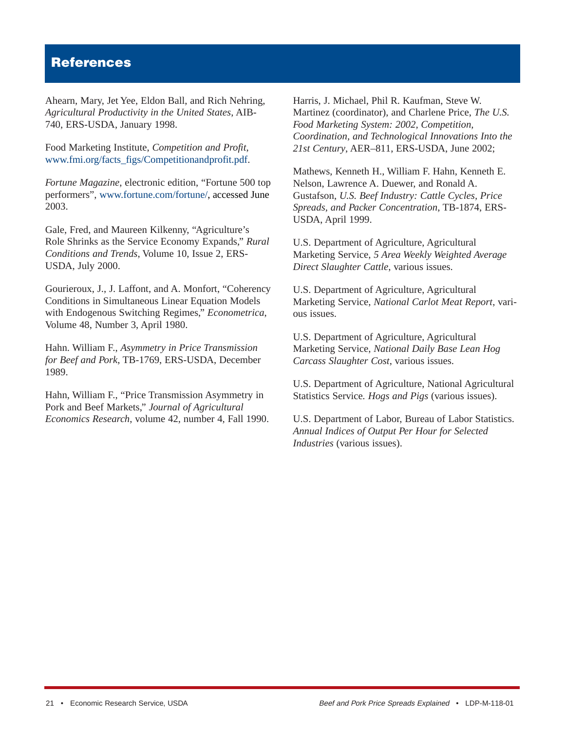# **References**

Ahearn, Mary, Jet Yee, Eldon Ball, and Rich Nehring, *Agricultural Productivity in the United States*, AIB-740, ERS-USDA, January 1998.

Food Marketing Institute, *Competition and Profit*, [www.fmi.org/facts\\_figs/Competitionandprofit.pdf.](http://www.fmi.org/facts_figs/Competitionandprofit.pdf)

*Fortune Magazine*, electronic edition, "Fortune 500 top performers", [www.fortune.com/fortune/,](http://www.fortune.com/fortune/) accessed June 2003.

Gale, Fred, and Maureen Kilkenny, "Agriculture's Role Shrinks as the Service Economy Expands," *Rural Conditions and Trends*, Volume 10, Issue 2, ERS-USDA, July 2000.

Gourieroux, J., J. Laffont, and A. Monfort, "Coherency Conditions in Simultaneous Linear Equation Models with Endogenous Switching Regimes," *Econometrica*, Volume 48, Number 3, April 1980.

Hahn. William F., *Asymmetry in Price Transmission for Beef and Pork*, TB-1769, ERS-USDA, December 1989.

Hahn, William F., "Price Transmission Asymmetry in Pork and Beef Markets," *Journal of Agricultural Economics Research*, volume 42, number 4, Fall 1990. Harris, J. Michael, Phil R. Kaufman, Steve W. Martinez (coordinator), and Charlene Price, *The U.S. Food Marketing System: 2002, Competition, Coordination, and Technological Innovations Into the 21st Century*, AER–811, ERS-USDA, June 2002;

Mathews, Kenneth H., William F. Hahn, Kenneth E. Nelson, Lawrence A. Duewer, and Ronald A. Gustafson, *U.S. Beef Industry: Cattle Cycles, Price Spreads, and Packer Concentration*, TB-1874, ERS-USDA, April 1999.

U.S. Department of Agriculture, Agricultural Marketing Service, *5 Area Weekly Weighted Average Direct Slaughter Cattle*, various issues.

U.S. Department of Agriculture, Agricultural Marketing Service, *National Carlot Meat Report*, various issues.

U.S. Department of Agriculture, Agricultural Marketing Service, *National Daily Base Lean Hog Carcass Slaughter Cost*, various issues.

U.S. Department of Agriculture, National Agricultural Statistics Service*. Hogs and Pigs* (various issues).

U.S. Department of Labor, Bureau of Labor Statistics. *Annual Indices of Output Per Hour for Selected Industries* (various issues).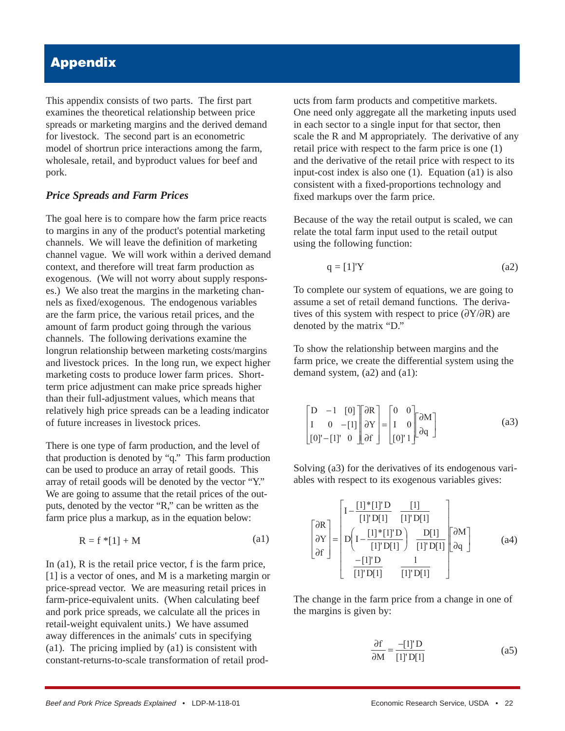# **Appendix**

This appendix consists of two parts. The first part examines the theoretical relationship between price spreads or marketing margins and the derived demand for livestock. The second part is an econometric model of shortrun price interactions among the farm, wholesale, retail, and byproduct values for beef and pork.

### *Price Spreads and Farm Prices*

The goal here is to compare how the farm price reacts to margins in any of the product's potential marketing channels. We will leave the definition of marketing channel vague. We will work within a derived demand context, and therefore will treat farm production as exogenous. (We will not worry about supply responses.) We also treat the margins in the marketing channels as fixed/exogenous. The endogenous variables are the farm price, the various retail prices, and the amount of farm product going through the various channels. The following derivations examine the longrun relationship between marketing costs/margins and livestock prices. In the long run, we expect higher marketing costs to produce lower farm prices. Shortterm price adjustment can make price spreads higher than their full-adjustment values, which means that relatively high price spreads can be a leading indicator of future increases in livestock prices.

There is one type of farm production, and the level of that production is denoted by "q." This farm production can be used to produce an array of retail goods. This array of retail goods will be denoted by the vector "Y." We are going to assume that the retail prices of the outputs, denoted by the vector "R," can be written as the farm price plus a markup, as in the equation below:

$$
R = f * [1] + M \tag{a1}
$$

In (a1), R is the retail price vector, f is the farm price, [1] is a vector of ones, and M is a marketing margin or price-spread vector. We are measuring retail prices in farm-price-equivalent units. (When calculating beef and pork price spreads, we calculate all the prices in retail-weight equivalent units.) We have assumed away differences in the animals' cuts in specifying (a1). The pricing implied by (a1) is consistent with constant-returns-to-scale transformation of retail products from farm products and competitive markets. One need only aggregate all the marketing inputs used in each sector to a single input for that sector, then scale the R and M appropriately. The derivative of any retail price with respect to the farm price is one (1) and the derivative of the retail price with respect to its input-cost index is also one (1). Equation (a1) is also consistent with a fixed-proportions technology and fixed markups over the farm price.

Because of the way the retail output is scaled, we can relate the total farm input used to the retail output using the following function:

$$
q = [1]'Y \tag{a2}
$$

To complete our system of equations, we are going to assume a set of retail demand functions. The derivatives of this system with respect to price ( $\frac{\partial Y}{\partial R}$ ) are denoted by the matrix "D."

To show the relationship between margins and the farm price, we create the differential system using the demand system, (a2) and (a1):

$$
\begin{bmatrix} D & -1 & [0] \\ I & 0 & -[1] \\ [0]' - [1]' & 0 \end{bmatrix} \begin{bmatrix} \partial R \\ \partial Y \\ \partial f \end{bmatrix} = \begin{bmatrix} 0 & 0 \\ I & 0 \\ [0] I \end{bmatrix} \begin{bmatrix} \partial M \\ \partial q \end{bmatrix}
$$
 (a3)

Solving (a3) for the derivatives of its endogenous variables with respect to its exogenous variables gives:

\n
$$
\text{(a1)} \quad\n \begin{bmatrix}\n \frac{\partial R}{\partial Y} \\
\frac{\partial Y}{\partial f}\n \end{bmatrix}\n =\n \begin{bmatrix}\n I - \frac{[1] * [1]'D}{[1]'D[1]} & \frac{[1]}{[1]'D[1]} \\
D\left(I - \frac{[1] * [1]'D}{[1]'D[1]}\right) & \frac{D[1]}{[1]'D[1]}\n \end{bmatrix}\n \begin{bmatrix}\n \frac{\partial M}{\partial q}\n \end{bmatrix}
$$
\n

\n\n (a4)\n

\n\n (a5)\n

\n\n (a6)\n

The change in the farm price from a change in one of the margins is given by:

$$
\frac{\partial f}{\partial M} = \frac{-[1]'D}{[1]'D[1]}
$$
 (a5)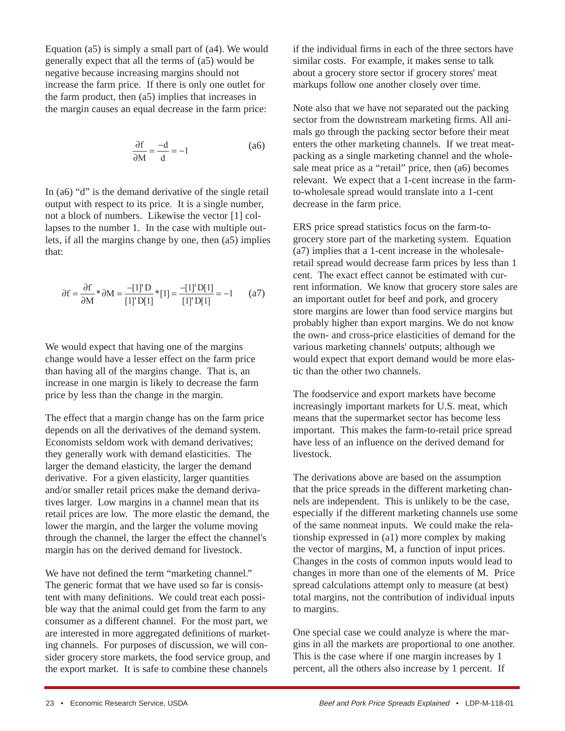Equation  $(a5)$  is simply a small part of  $(a4)$ . We would generally expect that all the terms of (a5) would be negative because increasing margins should not increase the farm price. If there is only one outlet for the farm product, then (a5) implies that increases in the margin causes an equal decrease in the farm price:

$$
\frac{\partial f}{\partial M} = \frac{-d}{d} = -1
$$
 (a6)

In (a6) "d" is the demand derivative of the single retail output with respect to its price. It is a single number, not a block of numbers. Likewise the vector [1] collapses to the number 1. In the case with multiple outlets, if all the margins change by one, then (a5) implies that:

$$
\partial f = \frac{\partial f}{\partial M} * \partial M = \frac{-[1] \cap D}{[1] \cap [1]} * [1] = \frac{-[1] \cap [1]}{[1] \cap [1]} = -1 \qquad (a7)
$$

We would expect that having one of the margins change would have a lesser effect on the farm price than having all of the margins change. That is, an increase in one margin is likely to decrease the farm price by less than the change in the margin.

The effect that a margin change has on the farm price depends on all the derivatives of the demand system. Economists seldom work with demand derivatives; they generally work with demand elasticities. The larger the demand elasticity, the larger the demand derivative. For a given elasticity, larger quantities and/or smaller retail prices make the demand derivatives larger. Low margins in a channel mean that its retail prices are low. The more elastic the demand, the lower the margin, and the larger the volume moving through the channel, the larger the effect the channel's margin has on the derived demand for livestock.

We have not defined the term "marketing channel." The generic format that we have used so far is consistent with many definitions. We could treat each possible way that the animal could get from the farm to any consumer as a different channel. For the most part, we are interested in more aggregated definitions of marketing channels. For purposes of discussion, we will consider grocery store markets, the food service group, and the export market. It is safe to combine these channels

if the individual firms in each of the three sectors have similar costs. For example, it makes sense to talk about a grocery store sector if grocery stores' meat markups follow one another closely over time.

Note also that we have not separated out the packing sector from the downstream marketing firms. All animals go through the packing sector before their meat enters the other marketing channels. If we treat meatpacking as a single marketing channel and the wholesale meat price as a "retail" price, then (a6) becomes relevant. We expect that a 1-cent increase in the farmto-wholesale spread would translate into a 1-cent decrease in the farm price.

ERS price spread statistics focus on the farm-togrocery store part of the marketing system. Equation (a7) implies that a 1-cent increase in the wholesaleretail spread would decrease farm prices by less than 1 cent. The exact effect cannot be estimated with current information. We know that grocery store sales are an important outlet for beef and pork, and grocery store margins are lower than food service margins but probably higher than export margins. We do not know the own- and cross-price elasticities of demand for the various marketing channels' outputs; although we would expect that export demand would be more elastic than the other two channels.

The foodservice and export markets have become increasingly important markets for U.S. meat, which means that the supermarket sector has become less important. This makes the farm-to-retail price spread have less of an influence on the derived demand for livestock.

The derivations above are based on the assumption that the price spreads in the different marketing channels are independent. This is unlikely to be the case, especially if the different marketing channels use some of the same nonmeat inputs. We could make the relationship expressed in (a1) more complex by making the vector of margins, M, a function of input prices. Changes in the costs of common inputs would lead to changes in more than one of the elements of M. Price spread calculations attempt only to measure (at best) total margins, not the contribution of individual inputs to margins.

One special case we could analyze is where the margins in all the markets are proportional to one another. This is the case where if one margin increases by 1 percent, all the others also increase by 1 percent. If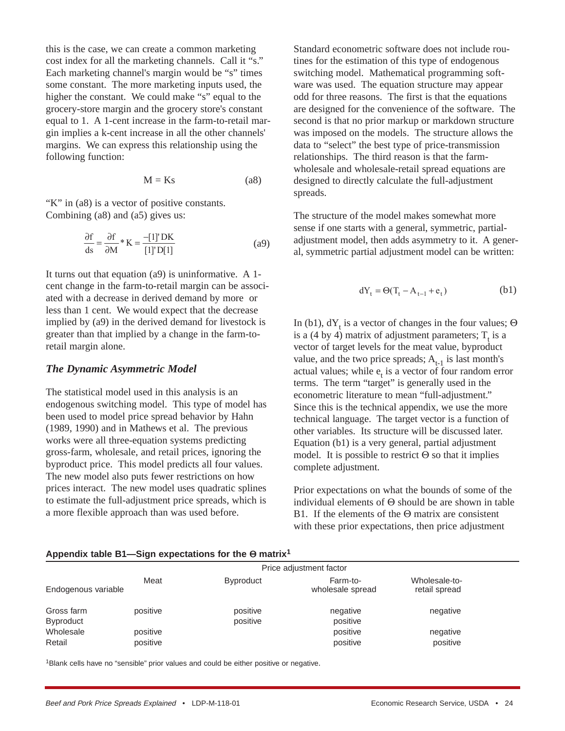this is the case, we can create a common marketing cost index for all the marketing channels. Call it "s." Each marketing channel's margin would be "s" times some constant. The more marketing inputs used, the higher the constant. We could make "s" equal to the grocery-store margin and the grocery store's constant equal to 1. A 1-cent increase in the farm-to-retail margin implies a k-cent increase in all the other channels' margins. We can express this relationship using the following function:

$$
M = Ks \tag{a8}
$$

"K" in (a8) is a vector of positive constants. Combining (a8) and (a5) gives us:

$$
\frac{\partial f}{\partial s} = \frac{\partial f}{\partial M} * K = \frac{-[1]' DK}{[1]' D[1]}
$$
 (a9)

It turns out that equation (a9) is uninformative. A 1 cent change in the farm-to-retail margin can be associated with a decrease in derived demand by more or less than 1 cent. We would expect that the decrease implied by (a9) in the derived demand for livestock is greater than that implied by a change in the farm-toretail margin alone.

#### *The Dynamic Asymmetric Model*

The statistical model used in this analysis is an endogenous switching model. This type of model has been used to model price spread behavior by Hahn (1989, 1990) and in Mathews et al. The previous works were all three-equation systems predicting gross-farm, wholesale, and retail prices, ignoring the byproduct price. This model predicts all four values. The new model also puts fewer restrictions on how prices interact. The new model uses quadratic splines to estimate the full-adjustment price spreads, which is a more flexible approach than was used before.

Standard econometric software does not include routines for the estimation of this type of endogenous switching model. Mathematical programming software was used. The equation structure may appear odd for three reasons. The first is that the equations are designed for the convenience of the software. The second is that no prior markup or markdown structure was imposed on the models. The structure allows the data to "select" the best type of price-transmission relationships. The third reason is that the farmwholesale and wholesale-retail spread equations are designed to directly calculate the full-adjustment spreads.

The structure of the model makes somewhat more sense if one starts with a general, symmetric, partialadjustment model, then adds asymmetry to it. A general, symmetric partial adjustment model can be written:

$$
dY_t = \Theta(T_t - A_{t-1} + e_t)
$$
 (b1)

In (b1),  $dY_t$  is a vector of changes in the four values;  $\Theta$ is a (4 by 4) matrix of adjustment parameters;  $T<sub>t</sub>$  is a vector of target levels for the meat value, byproduct value, and the two price spreads;  $A_{t-1}$  is last month's actual values; while  $e_t$  is a vector of four random error terms. The term "target" is generally used in the econometric literature to mean "full-adjustment." Since this is the technical appendix, we use the more technical language. The target vector is a function of other variables. Its structure will be discussed later. Equation (b1) is a very general, partial adjustment model. It is possible to restrict  $\Theta$  so that it implies complete adjustment.

Prior expectations on what the bounds of some of the individual elements of Θ should be are shown in table B1. If the elements of the Θ matrix are consistent with these prior expectations, then price adjustment

| Appendix table B1-Sign expectations for the Θ matrix <sup>1</sup> |  |  |
|-------------------------------------------------------------------|--|--|
|-------------------------------------------------------------------|--|--|

|                     |          |                  | Price adjustment factor      |                                |
|---------------------|----------|------------------|------------------------------|--------------------------------|
| Endogenous variable | Meat     | <b>Byproduct</b> | Farm-to-<br>wholesale spread | Wholesale-to-<br>retail spread |
| Gross farm          | positive | positive         | negative                     | negative                       |
| Byproduct           |          | positive         | positive                     |                                |
| Wholesale           | positive |                  | positive                     | negative                       |
| Retail              | positive |                  | positive                     | positive                       |
|                     |          |                  |                              |                                |

1Blank cells have no "sensible" prior values and could be either positive or negative.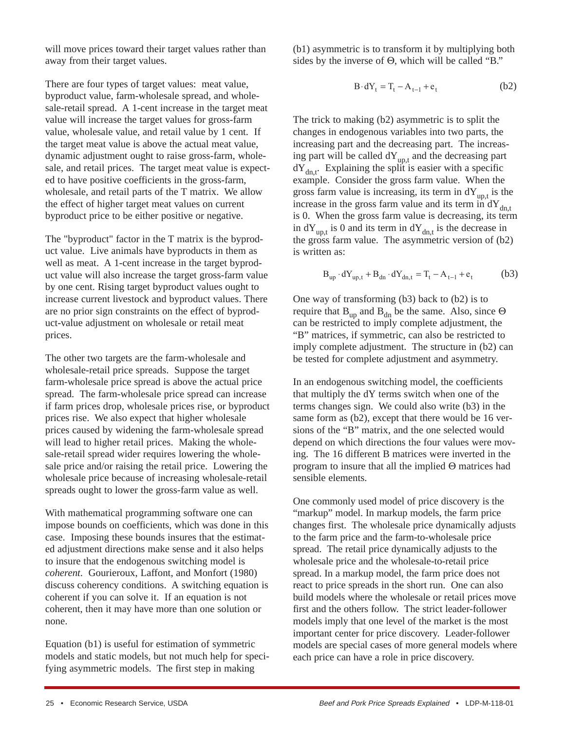will move prices toward their target values rather than away from their target values.

There are four types of target values: meat value, byproduct value, farm-wholesale spread, and wholesale-retail spread. A 1-cent increase in the target meat value will increase the target values for gross-farm value, wholesale value, and retail value by 1 cent. If the target meat value is above the actual meat value, dynamic adjustment ought to raise gross-farm, wholesale, and retail prices. The target meat value is expected to have positive coefficients in the gross-farm, wholesale, and retail parts of the T matrix. We allow the effect of higher target meat values on current byproduct price to be either positive or negative.

The "byproduct" factor in the T matrix is the byproduct value. Live animals have byproducts in them as well as meat. A 1-cent increase in the target byproduct value will also increase the target gross-farm value by one cent. Rising target byproduct values ought to increase current livestock and byproduct values. There are no prior sign constraints on the effect of byproduct-value adjustment on wholesale or retail meat prices.

The other two targets are the farm-wholesale and wholesale-retail price spreads. Suppose the target farm-wholesale price spread is above the actual price spread. The farm-wholesale price spread can increase if farm prices drop, wholesale prices rise, or byproduct prices rise. We also expect that higher wholesale prices caused by widening the farm-wholesale spread will lead to higher retail prices. Making the wholesale-retail spread wider requires lowering the wholesale price and/or raising the retail price. Lowering the wholesale price because of increasing wholesale-retail spreads ought to lower the gross-farm value as well.

With mathematical programming software one can impose bounds on coefficients, which was done in this case. Imposing these bounds insures that the estimated adjustment directions make sense and it also helps to insure that the endogenous switching model is *coherent*. Gourieroux, Laffont, and Monfort (1980) discuss coherency conditions. A switching equation is coherent if you can solve it. If an equation is not coherent, then it may have more than one solution or none.

Equation (b1) is useful for estimation of symmetric models and static models, but not much help for specifying asymmetric models. The first step in making

(b1) asymmetric is to transform it by multiplying both sides by the inverse of Θ, which will be called "B."

$$
B \cdot dY_t = T_t - A_{t-1} + e_t \tag{b2}
$$

The trick to making (b2) asymmetric is to split the changes in endogenous variables into two parts, the increasing part and the decreasing part. The increasing part will be called  $dY_{up,t}$  and the decreasing part  $dY_{\text{dn }t}$ . Explaining the split is easier with a specific example. Consider the gross farm value. When the gross farm value is increasing, its term in  $dY_{\text{up},t}$  is the increase in the gross farm value and its term in  $dY_{dn,t}$ is 0. When the gross farm value is decreasing, its term in  $dY_{un,t}$  is 0 and its term in  $dY_{dn,t}$  is the decrease in the gross farm value. The asymmetric version of (b2) is written as:

$$
B_{up} \cdot dY_{up,t} + B_{dn} \cdot dY_{dn,t} = T_t - A_{t-1} + e_t
$$
 (b3)

One way of transforming (b3) back to (b2) is to require that  $B_{up}$  and  $B_{dn}$  be the same. Also, since  $\Theta$ can be restricted to imply complete adjustment, the "B" matrices, if symmetric, can also be restricted to imply complete adjustment. The structure in (b2) can be tested for complete adjustment and asymmetry.

In an endogenous switching model, the coefficients that multiply the dY terms switch when one of the terms changes sign. We could also write (b3) in the same form as (b2), except that there would be 16 versions of the "B" matrix, and the one selected would depend on which directions the four values were moving. The 16 different B matrices were inverted in the program to insure that all the implied Θ matrices had sensible elements.

One commonly used model of price discovery is the "markup" model. In markup models, the farm price changes first. The wholesale price dynamically adjusts to the farm price and the farm-to-wholesale price spread. The retail price dynamically adjusts to the wholesale price and the wholesale-to-retail price spread. In a markup model, the farm price does not react to price spreads in the short run. One can also build models where the wholesale or retail prices move first and the others follow. The strict leader-follower models imply that one level of the market is the most important center for price discovery. Leader-follower models are special cases of more general models where each price can have a role in price discovery.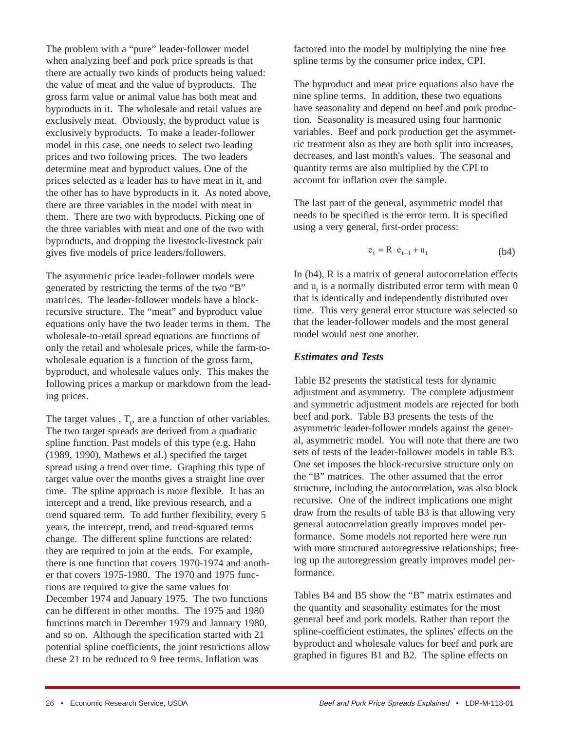The problem with a "pure" leader-follower model when analyzing beef and pork price spreads is that there are actually two kinds of products being valued: the value of meat and the value of byproducts. The gross farm value or animal value has both meat and byproducts in it. The wholesale and retail values are exclusively meat. Obviously, the byproduct value is exclusively byproducts. To make a leader-follower model in this case, one needs to select two leading prices and two following prices. The two leaders determine meat and byproduct values. One of the prices selected as a leader has to have meat in it, and the other has to have byproducts in it. As noted above, there are three variables in the model with meat in them. There are two with byproducts. Picking one of the three variables with meat and one of the two with byproducts, and dropping the livestock-livestock pair gives five models of price leaders/followers.

The asymmetric price leader-follower models were generated by restricting the terms of the two "B" matrices. The leader-follower models have a blockrecursive structure. The "meat" and byproduct value equations only have the two leader terms in them. The wholesale-to-retail spread equations are functions of only the retail and wholesale prices, while the farm-towholesale equation is a function of the gross farm, byproduct, and wholesale values only. This makes the following prices a markup or markdown from the leading prices.

The target values ,  $T_t$ , are a function of other variables. The two target spreads are derived from a quadratic spline function. Past models of this type (e.g. Hahn (1989, 1990), Mathews et al.) specified the target spread using a trend over time. Graphing this type of target value over the months gives a straight line over time. The spline approach is more flexible. It has an intercept and a trend, like previous research, and a trend squared term. To add further flexibility, every 5 years, the intercept, trend, and trend-squared terms change. The different spline functions are related: they are required to join at the ends. For example, there is one function that covers 1970-1974 and another that covers 1975-1980. The 1970 and 1975 functions are required to give the same values for December 1974 and January 1975. The two functions can be different in other months. The 1975 and 1980 functions match in December 1979 and January 1980, and so on. Although the specification started with 21 potential spline coefficients, the joint restrictions allow these 21 to be reduced to 9 free terms. Inflation was

factored into the model by multiplying the nine free spline terms by the consumer price index, CPI.

The byproduct and meat price equations also have the nine spline terms. In addition, these two equations have seasonality and depend on beef and pork production. Seasonality is measured using four harmonic variables. Beef and pork production get the asymmetric treatment also as they are both split into increases, decreases, and last month's values. The seasonal and quantity terms are also multiplied by the CPI to account for inflation over the sample.

The last part of the general, asymmetric model that needs to be specified is the error term. It is specified using a very general, first-order process:

$$
e_t = R \cdot e_{t-1} + u_t \tag{b4}
$$

In (b4), R is a matrix of general autocorrelation effects and  $u_t$  is a normally distributed error term with mean  $0$ that is identically and independently distributed over time. This very general error structure was selected so that the leader-follower models and the most general model would nest one another.

### *Estimates and Tests*

Table B2 presents the statistical tests for dynamic adjustment and asymmetry. The complete adjustment and symmetric adjustment models are rejected for both beef and pork. Table B3 presents the tests of the asymmetric leader-follower models against the general, asymmetric model. You will note that there are two sets of tests of the leader-follower models in table B3. One set imposes the block-recursive structure only on the "B" matrices. The other assumed that the error structure, including the autocorrelation, was also block recursive. One of the indirect implications one might draw from the results of table B3 is that allowing very general autocorrelation greatly improves model performance. Some models not reported here were run with more structured autoregressive relationships; freeing up the autoregression greatly improves model performance.

Tables B4 and B5 show the "B" matrix estimates and the quantity and seasonality estimates for the most general beef and pork models. Rather than report the spline-coefficient estimates, the splines' effects on the byproduct and wholesale values for beef and pork are graphed in figures B1 and B2. The spline effects on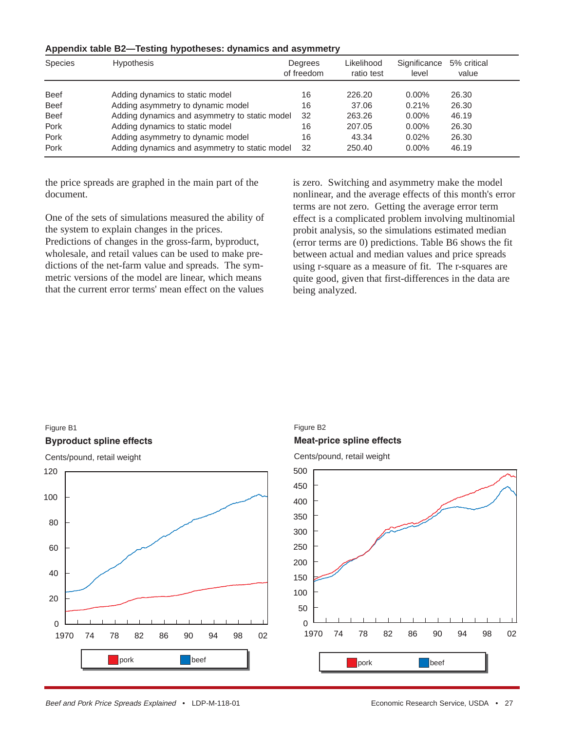| Species     | <b>Hypothesis</b>                             | Degrees<br>of freedom | Likelihood<br>ratio test | Significance<br>level | 5% critical<br>value |
|-------------|-----------------------------------------------|-----------------------|--------------------------|-----------------------|----------------------|
| <b>Beef</b> | Adding dynamics to static model               | 16                    | 226.20                   | $0.00\%$              | 26.30                |
| <b>Beef</b> | Adding asymmetry to dynamic model             | 16                    | 37.06                    | 0.21%                 | 26.30                |
| <b>Beef</b> | Adding dynamics and asymmetry to static model | 32                    | 263.26                   | $0.00\%$              | 46.19                |
| Pork        | Adding dynamics to static model               | 16                    | 207.05                   | $0.00\%$              | 26.30                |
| Pork        | Adding asymmetry to dynamic model             | 16                    | 43.34                    | 0.02%                 | 26.30                |
| Pork        | Adding dynamics and asymmetry to static model | 32                    | 250.40                   | $0.00\%$              | 46.19                |

#### **Appendix table B2—Testing hypotheses: dynamics and asymmetry**

the price spreads are graphed in the main part of the document.

One of the sets of simulations measured the ability of the system to explain changes in the prices.

Predictions of changes in the gross-farm, byproduct, wholesale, and retail values can be used to make predictions of the net-farm value and spreads. The symmetric versions of the model are linear, which means that the current error terms' mean effect on the values is zero. Switching and asymmetry make the model nonlinear, and the average effects of this month's error terms are not zero. Getting the average error term effect is a complicated problem involving multinomial probit analysis, so the simulations estimated median (error terms are 0) predictions. Table B6 shows the fit between actual and median values and price spreads using r-square as a measure of fit. The r-squares are quite good, given that first-differences in the data are being analyzed.

#### Figure B1

#### **Byproduct spline effects**

Cents/pound, retail weight



### **Meat-price spline effects** Figure B2

Cents/pound, retail weight

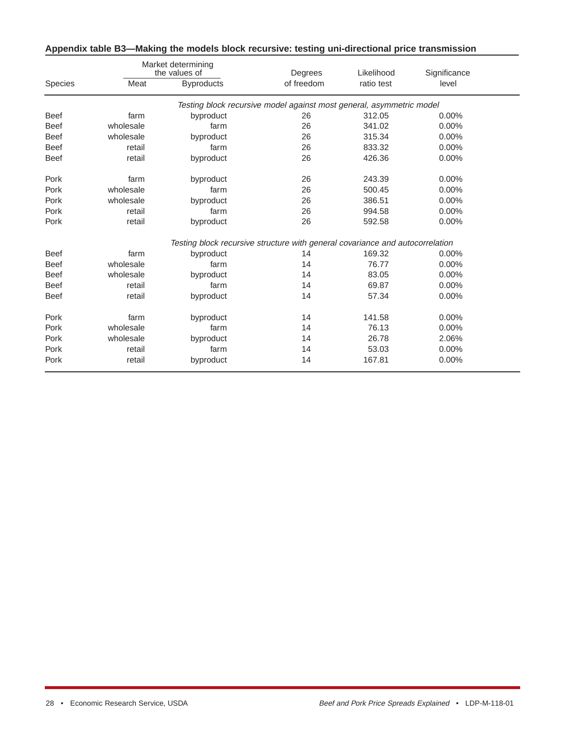|                |           | Market determining<br>the values of | Degrees                                                                       | Likelihood | Significance |  |
|----------------|-----------|-------------------------------------|-------------------------------------------------------------------------------|------------|--------------|--|
| <b>Species</b> | Meat      | <b>Byproducts</b>                   | of freedom                                                                    | ratio test | level        |  |
|                |           |                                     | Testing block recursive model against most general, asymmetric model          |            |              |  |
| <b>Beef</b>    | farm      | byproduct                           | 26                                                                            | 312.05     | $0.00\%$     |  |
| <b>Beef</b>    | wholesale | farm                                | 26                                                                            | 341.02     | $0.00\%$     |  |
| <b>Beef</b>    | wholesale | byproduct                           | 26                                                                            | 315.34     | $0.00\%$     |  |
| <b>Beef</b>    | retail    | farm                                | 26                                                                            | 833.32     | $0.00\%$     |  |
| <b>Beef</b>    | retail    | byproduct                           | 26                                                                            | 426.36     | 0.00%        |  |
| Pork           | farm      | byproduct                           | 26                                                                            | 243.39     | $0.00\%$     |  |
| Pork           | wholesale | farm                                | 26                                                                            | 500.45     | $0.00\%$     |  |
| Pork           | wholesale | byproduct                           | 26                                                                            | 386.51     | $0.00\%$     |  |
| Pork           | retail    | farm                                | 26                                                                            | 994.58     | 0.00%        |  |
| Pork           | retail    | byproduct                           | 26                                                                            | 592.58     | 0.00%        |  |
|                |           |                                     | Testing block recursive structure with general covariance and autocorrelation |            |              |  |
| <b>Beef</b>    | farm      | byproduct                           | 14                                                                            | 169.32     | $0.00\%$     |  |
| <b>Beef</b>    | wholesale | farm                                | 14                                                                            | 76.77      | $0.00\%$     |  |
| <b>Beef</b>    | wholesale | byproduct                           | 14                                                                            | 83.05      | $0.00\%$     |  |
| <b>Beef</b>    | retail    | farm                                | 14                                                                            | 69.87      | $0.00\%$     |  |
| <b>Beef</b>    | retail    | byproduct                           | 14                                                                            | 57.34      | $0.00\%$     |  |
| Pork           | farm      | byproduct                           | 14                                                                            | 141.58     | 0.00%        |  |
| Pork           | wholesale | farm                                | 14                                                                            | 76.13      | 0.00%        |  |
| Pork           | wholesale | byproduct                           | 14                                                                            | 26.78      | 2.06%        |  |
| Pork           | retail    | farm                                | 14                                                                            | 53.03      | 0.00%        |  |
| Pork           | retail    | byproduct                           | 14                                                                            | 167.81     | 0.00%        |  |

# **Appendix table B3—Making the models block recursive: testing uni-directional price transmission**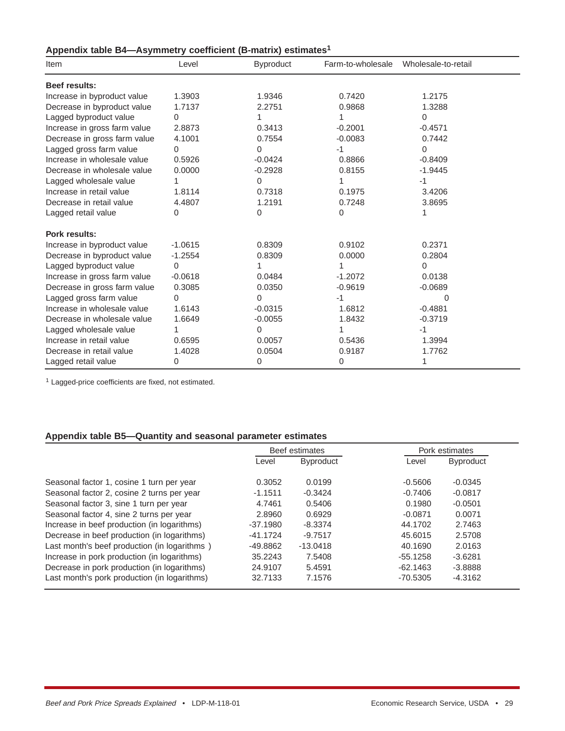| Appendix table B4-Asymmetry coefficient (B-matrix) estimates <sup>1</sup> |  |  |
|---------------------------------------------------------------------------|--|--|
|---------------------------------------------------------------------------|--|--|

| Item                         | Level     | <b>Byproduct</b> | Farm-to-wholesale | Wholesale-to-retail |
|------------------------------|-----------|------------------|-------------------|---------------------|
| <b>Beef results:</b>         |           |                  |                   |                     |
| Increase in byproduct value  | 1.3903    | 1.9346           | 0.7420            | 1.2175              |
| Decrease in byproduct value  | 1.7137    | 2.2751           | 0.9868            | 1.3288              |
| Lagged byproduct value       | 0         |                  | 1                 | 0                   |
| Increase in gross farm value | 2.8873    | 0.3413           | $-0.2001$         | $-0.4571$           |
| Decrease in gross farm value | 4.1001    | 0.7554           | $-0.0083$         | 0.7442              |
| Lagged gross farm value      | 0         | $\Omega$         | $-1$              | 0                   |
| Increase in wholesale value  | 0.5926    | $-0.0424$        | 0.8866            | $-0.8409$           |
| Decrease in wholesale value  | 0.0000    | $-0.2928$        | 0.8155            | $-1.9445$           |
| Lagged wholesale value       |           | 0                |                   | $-1$                |
| Increase in retail value     | 1.8114    | 0.7318           | 0.1975            | 3.4206              |
| Decrease in retail value     | 4.4807    | 1.2191           | 0.7248            | 3.8695              |
| Lagged retail value          | 0         | 0                | 0                 |                     |
| <b>Pork results:</b>         |           |                  |                   |                     |
| Increase in byproduct value  | $-1.0615$ | 0.8309           | 0.9102            | 0.2371              |
| Decrease in byproduct value  | $-1.2554$ | 0.8309           | 0.0000            | 0.2804              |
| Lagged byproduct value       | 0         |                  |                   | 0                   |
| Increase in gross farm value | $-0.0618$ | 0.0484           | $-1.2072$         | 0.0138              |
| Decrease in gross farm value | 0.3085    | 0.0350           | $-0.9619$         | $-0.0689$           |
| Lagged gross farm value      | 0         | $\Omega$         | $-1$              | 0                   |
| Increase in wholesale value  | 1.6143    | $-0.0315$        | 1.6812            | $-0.4881$           |
| Decrease in wholesale value  | 1.6649    | $-0.0055$        | 1.8432            | $-0.3719$           |
| Lagged wholesale value       |           | 0                | 1                 | -1                  |
| Increase in retail value     | 0.6595    | 0.0057           | 0.5436            | 1.3994              |
| Decrease in retail value     | 1.4028    | 0.0504           | 0.9187            | 1.7762              |
| Lagged retail value          | 0         | 0                | 0                 | 1                   |

<sup>1</sup> Lagged-price coefficients are fixed, not estimated.

### **Appendix table B5—Quantity and seasonal parameter estimates**

|                                              | Beef estimates |                  |            | Pork estimates   |
|----------------------------------------------|----------------|------------------|------------|------------------|
|                                              | Level          | <b>Byproduct</b> | Level      | <b>Byproduct</b> |
| Seasonal factor 1, cosine 1 turn per year    | 0.3052         | 0.0199           | $-0.5606$  | $-0.0345$        |
| Seasonal factor 2, cosine 2 turns per year   | $-1.1511$      | $-0.3424$        | $-0.7406$  | $-0.0817$        |
| Seasonal factor 3, sine 1 turn per year      | 4.7461         | 0.5406           | 0.1980     | $-0.0501$        |
| Seasonal factor 4, sine 2 turns per year     | 2.8960         | 0.6929           | $-0.0871$  | 0.0071           |
| Increase in beef production (in logarithms)  | $-37.1980$     | $-8.3374$        | 44.1702    | 2.7463           |
| Decrease in beef production (in logarithms)  | $-41.1724$     | $-9.7517$        | 45.6015    | 2.5708           |
| Last month's beef production (in logarithms) | $-49.8862$     | $-13.0418$       | 40.1690    | 2.0163           |
| Increase in pork production (in logarithms)  | 35.2243        | 7.5408           | $-55.1258$ | $-3.6281$        |
| Decrease in pork production (in logarithms)  | 24.9107        | 5.4591           | $-62.1463$ | $-3.8888$        |
| Last month's pork production (in logarithms) | 32.7133        | 7.1576           | $-70.5305$ | $-4.3162$        |